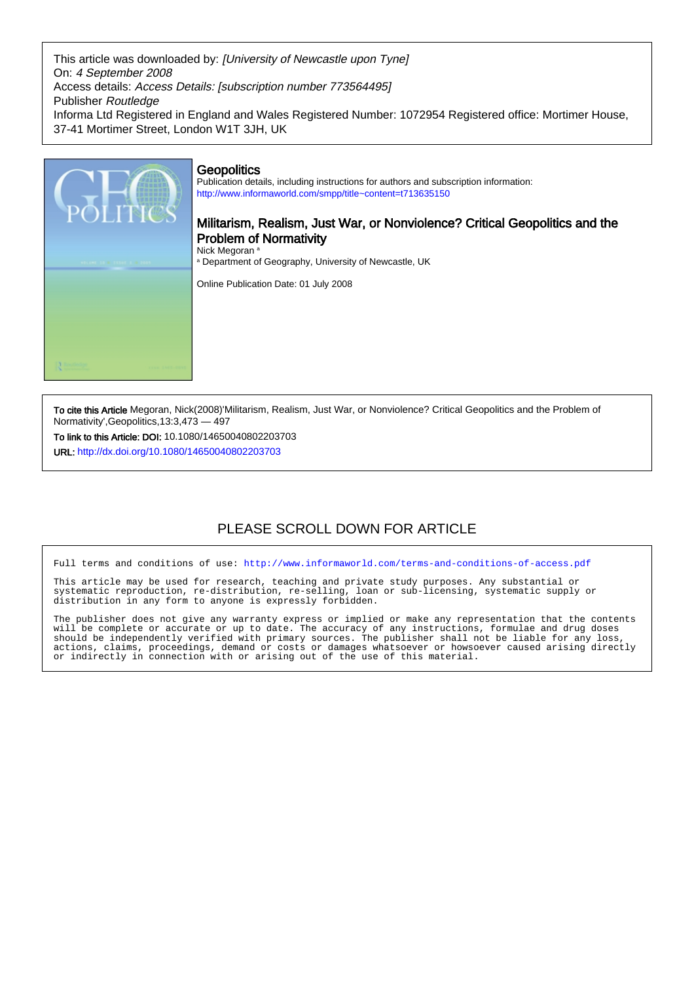This article was downloaded by: [University of Newcastle upon Tyne] On: 4 September 2008 Access details: Access Details: [subscription number 773564495] Publisher Routledge Informa Ltd Registered in England and Wales Registered Number: 1072954 Registered office: Mortimer House, 37-41 Mortimer Street, London W1T 3JH, UK



#### **Geopolitics**

Publication details, including instructions for authors and subscription information: <http://www.informaworld.com/smpp/title~content=t713635150>

#### Militarism, Realism, Just War, or Nonviolence? Critical Geopolitics and the Problem of Normativity Nick Megoran<sup>a</sup>

a Department of Geography, University of Newcastle, UK

Online Publication Date: 01 July 2008

To cite this Article Megoran, Nick(2008)'Militarism, Realism, Just War, or Nonviolence? Critical Geopolitics and the Problem of Normativity',Geopolitics,13:3,473 — 497

To link to this Article: DOI: 10.1080/14650040802203703 URL: <http://dx.doi.org/10.1080/14650040802203703>

## PLEASE SCROLL DOWN FOR ARTICLE

Full terms and conditions of use:<http://www.informaworld.com/terms-and-conditions-of-access.pdf>

This article may be used for research, teaching and private study purposes. Any substantial or systematic reproduction, re-distribution, re-selling, loan or sub-licensing, systematic supply or distribution in any form to anyone is expressly forbidden.

The publisher does not give any warranty express or implied or make any representation that the contents will be complete or accurate or up to date. The accuracy of any instructions, formulae and drug doses should be independently verified with primary sources. The publisher shall not be liable for any loss, actions, claims, proceedings, demand or costs or damages whatsoever or howsoever caused arising directly or indirectly in connection with or arising out of the use of this material.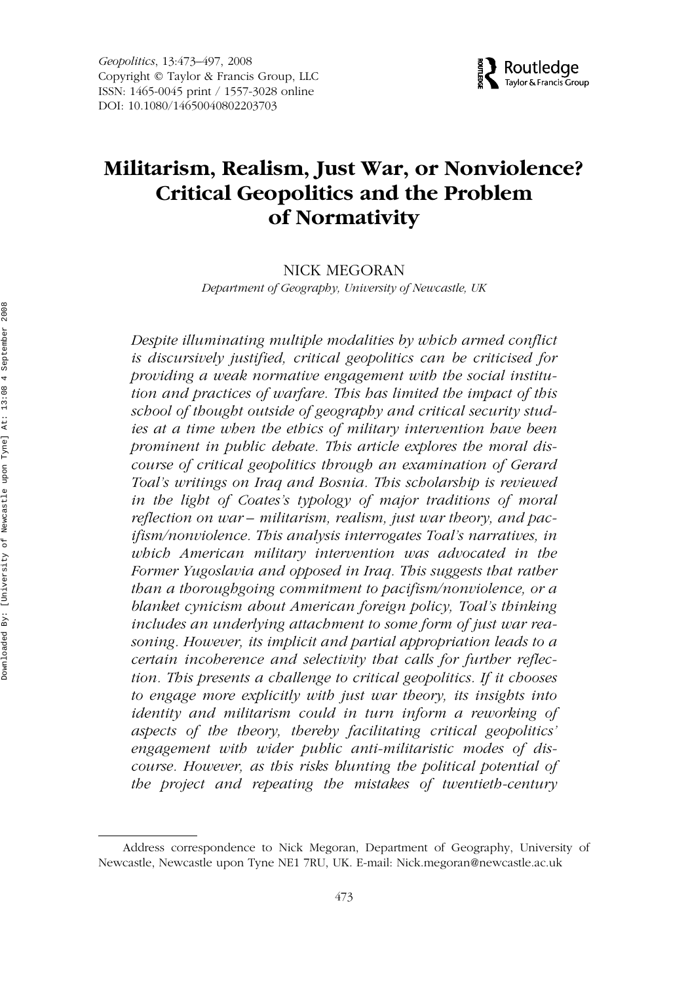

# FGEO 1465-0045 1557-3028Geopolitics, Vol. 13, No. 3, Jul 2008: pp. 0–0 Geopolitics **Militarism, Realism, Just War, or Nonviolence? Critical Geopolitics and the Problem of Normativity**

NICK MEGORAN

*Department of Geography, University of Newcastle, UK*

*Despite illuminating multiple modalities by which armed conflict is discursively justified, critical geopolitics can be criticised for providing a weak normative engagement with the social institution and practices of warfare. This has limited the impact of this school of thought outside of geography and critical security studies at a time when the ethics of military intervention have been prominent in public debate. This article explores the moral discourse of critical geopolitics through an examination of Gerard Toal's writings on Iraq and Bosnia. This scholarship is reviewed in the light of Coates's typology of major traditions of moral reflection on war – militarism, realism, just war theory, and pacifism/nonviolence. This analysis interrogates Toal's narratives, in which American military intervention was advocated in the Former Yugoslavia and opposed in Iraq. This suggests that rather than a thoroughgoing commitment to pacifism/nonviolence, or a blanket cynicism about American foreign policy, Toal's thinking includes an underlying attachment to some form of just war reasoning. However, its implicit and partial appropriation leads to a certain incoherence and selectivity that calls for further reflection. This presents a challenge to critical geopolitics. If it chooses to engage more explicitly with just war theory, its insights into identity and militarism could in turn inform a reworking of aspects of the theory, thereby facilitating critical geopolitics' engagement with wider public anti-militaristic modes of discourse. However, as this risks blunting the political potential of the project and repeating the mistakes of twentieth-century*

Address correspondence to Nick Megoran, Department of Geography, University of Newcastle, Newcastle upon Tyne NE1 7RU, UK. E-mail: Nick.megoran@newcastle.ac.uk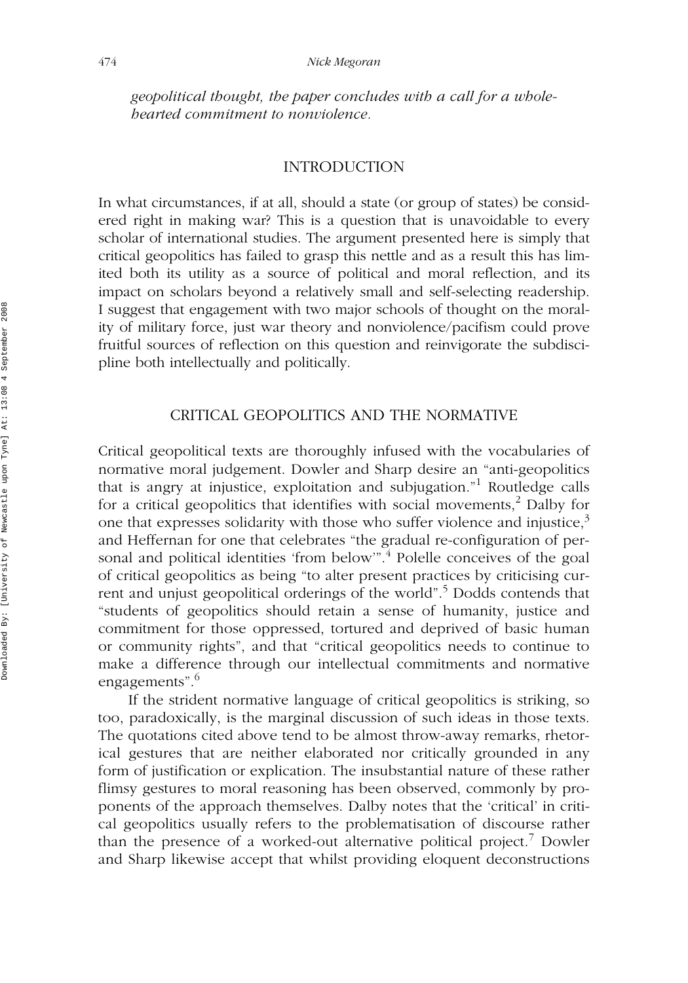*geopolitical thought, the paper concludes with a call for a wholehearted commitment to nonviolence.*

#### INTRODUCTION

In what circumstances, if at all, should a state (or group of states) be considered right in making war? This is a question that is unavoidable to every scholar of international studies. The argument presented here is simply that critical geopolitics has failed to grasp this nettle and as a result this has limited both its utility as a source of political and moral reflection, and its impact on scholars beyond a relatively small and self-selecting readership. I suggest that engagement with two major schools of thought on the morality of military force, just war theory and nonviolence/pacifism could prove fruitful sources of reflection on this question and reinvigorate the subdiscipline both intellectually and politically.

### CRITICAL GEOPOLITICS AND THE NORMATIVE

Critical geopolitical texts are thoroughly infused with the vocabularies of normative moral judgement. Dowler and Sharp desire an "anti-geopolitics that is angry at injustice, exploitation and subjugation."<sup>1</sup> Routledge calls for a critical geopolitics that identifies with social movements,<sup>2</sup> Dalby for one that expresses solidarity with those who suffer violence and injustice, $3$ and Heffernan for one that celebrates "the gradual re-configuration of personal and political identities 'from below'".<sup>4</sup> Polelle conceives of the goal of critical geopolitics as being "to alter present practices by criticising current and unjust geopolitical orderings of the world".<sup>5</sup> Dodds contends that "students of geopolitics should retain a sense of humanity, justice and commitment for those oppressed, tortured and deprived of basic human or community rights", and that "critical geopolitics needs to continue to make a difference through our intellectual commitments and normative engagements".<sup>6</sup>

If the strident normative language of critical geopolitics is striking, so too, paradoxically, is the marginal discussion of such ideas in those texts. The quotations cited above tend to be almost throw-away remarks, rhetorical gestures that are neither elaborated nor critically grounded in any form of justification or explication. The insubstantial nature of these rather flimsy gestures to moral reasoning has been observed, commonly by proponents of the approach themselves. Dalby notes that the 'critical' in critical geopolitics usually refers to the problematisation of discourse rather than the presence of a worked-out alternative political project.<sup>7</sup> Dowler and Sharp likewise accept that whilst providing eloquent deconstructions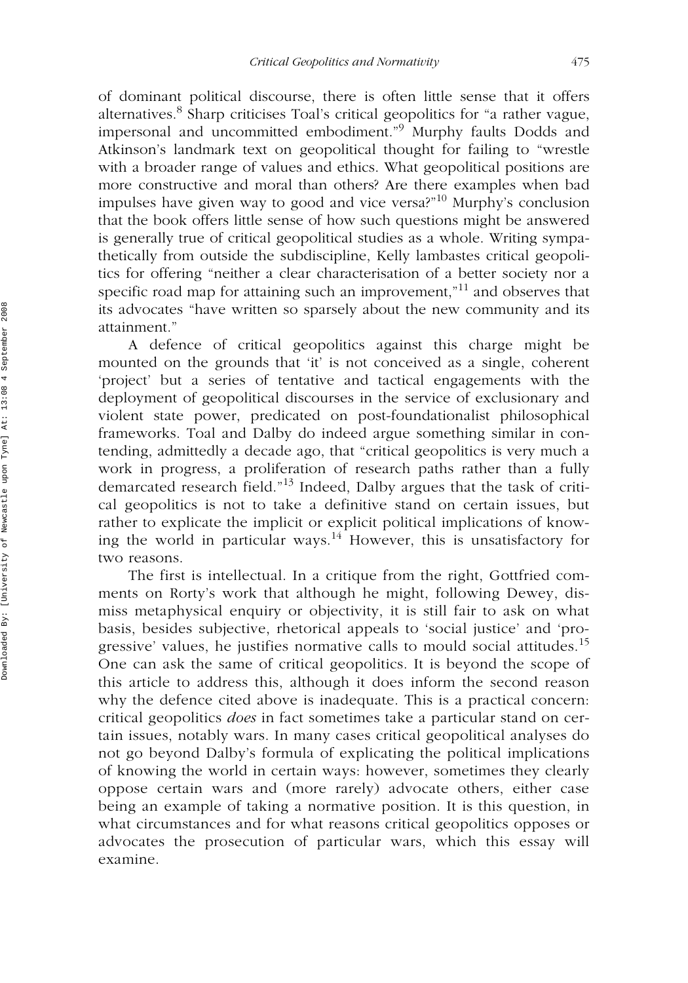of dominant political discourse, there is often little sense that it offers alternatives.<sup>8</sup> Sharp criticises Toal's critical geopolitics for "a rather vague, impersonal and uncommitted embodiment."<sup>9</sup> Murphy faults Dodds and Atkinson's landmark text on geopolitical thought for failing to "wrestle with a broader range of values and ethics. What geopolitical positions are more constructive and moral than others? Are there examples when bad impulses have given way to good and vice versa?"10 Murphy's conclusion that the book offers little sense of how such questions might be answered is generally true of critical geopolitical studies as a whole. Writing sympathetically from outside the subdiscipline, Kelly lambastes critical geopolitics for offering "neither a clear characterisation of a better society nor a specific road map for attaining such an improvement, $n<sup>11</sup>$  and observes that its advocates "have written so sparsely about the new community and its attainment."

A defence of critical geopolitics against this charge might be mounted on the grounds that 'it' is not conceived as a single, coherent 'project' but a series of tentative and tactical engagements with the deployment of geopolitical discourses in the service of exclusionary and violent state power, predicated on post-foundationalist philosophical frameworks. Toal and Dalby do indeed argue something similar in contending, admittedly a decade ago, that "critical geopolitics is very much a work in progress, a proliferation of research paths rather than a fully demarcated research field."13 Indeed, Dalby argues that the task of critical geopolitics is not to take a definitive stand on certain issues, but rather to explicate the implicit or explicit political implications of knowing the world in particular ways.<sup>14</sup> However, this is unsatisfactory for two reasons.

The first is intellectual. In a critique from the right, Gottfried comments on Rorty's work that although he might, following Dewey, dismiss metaphysical enquiry or objectivity, it is still fair to ask on what basis, besides subjective, rhetorical appeals to 'social justice' and 'progressive' values, he justifies normative calls to mould social attitudes.<sup>15</sup> One can ask the same of critical geopolitics. It is beyond the scope of this article to address this, although it does inform the second reason why the defence cited above is inadequate. This is a practical concern: critical geopolitics *does* in fact sometimes take a particular stand on certain issues, notably wars. In many cases critical geopolitical analyses do not go beyond Dalby's formula of explicating the political implications of knowing the world in certain ways: however, sometimes they clearly oppose certain wars and (more rarely) advocate others, either case being an example of taking a normative position. It is this question, in what circumstances and for what reasons critical geopolitics opposes or advocates the prosecution of particular wars, which this essay will examine.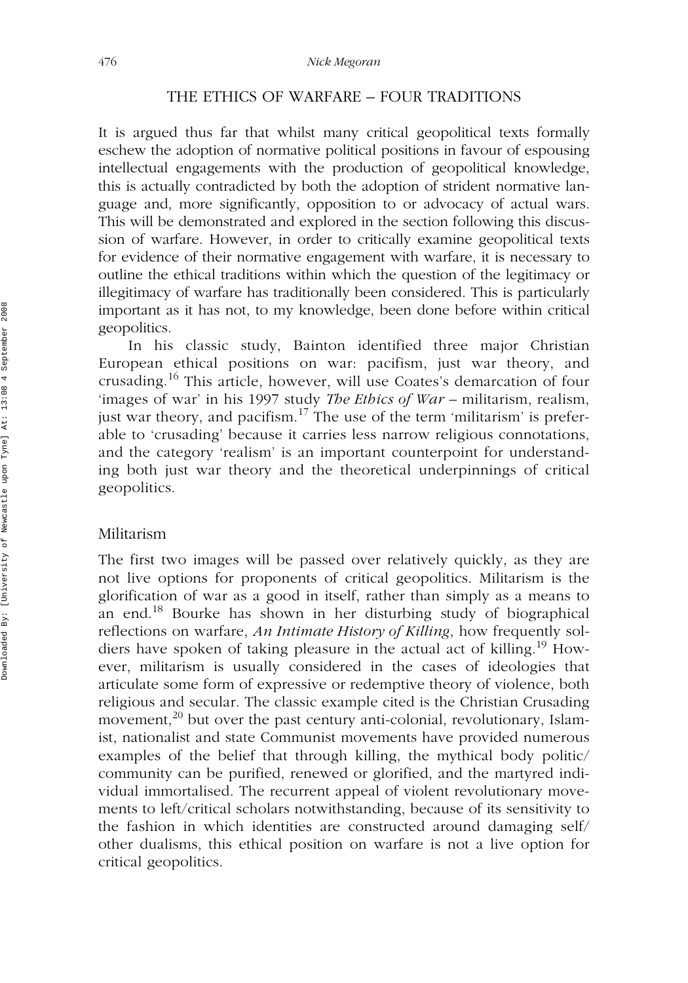#### THE ETHICS OF WARFARE – FOUR TRADITIONS

It is argued thus far that whilst many critical geopolitical texts formally eschew the adoption of normative political positions in favour of espousing intellectual engagements with the production of geopolitical knowledge, this is actually contradicted by both the adoption of strident normative language and, more significantly, opposition to or advocacy of actual wars. This will be demonstrated and explored in the section following this discussion of warfare. However, in order to critically examine geopolitical texts for evidence of their normative engagement with warfare, it is necessary to outline the ethical traditions within which the question of the legitimacy or illegitimacy of warfare has traditionally been considered. This is particularly important as it has not, to my knowledge, been done before within critical geopolitics.

In his classic study, Bainton identified three major Christian European ethical positions on war: pacifism, just war theory, and crusading.<sup>16</sup> This article, however, will use Coates's demarcation of four 'images of war' in his 1997 study *The Ethics of War* – militarism, realism, just war theory, and pacifism.<sup>17</sup> The use of the term 'militarism' is preferable to 'crusading' because it carries less narrow religious connotations, and the category 'realism' is an important counterpoint for understanding both just war theory and the theoretical underpinnings of critical geopolitics.

#### Militarism

The first two images will be passed over relatively quickly, as they are not live options for proponents of critical geopolitics. Militarism is the glorification of war as a good in itself, rather than simply as a means to an end.<sup>18</sup> Bourke has shown in her disturbing study of biographical reflections on warfare, *An Intimate History of Killing*, how frequently soldiers have spoken of taking pleasure in the actual act of killing.<sup>19</sup> However, militarism is usually considered in the cases of ideologies that articulate some form of expressive or redemptive theory of violence, both religious and secular. The classic example cited is the Christian Crusading movement,<sup>20</sup> but over the past century anti-colonial, revolutionary, Islamist, nationalist and state Communist movements have provided numerous examples of the belief that through killing, the mythical body politic/ community can be purified, renewed or glorified, and the martyred individual immortalised. The recurrent appeal of violent revolutionary movements to left/critical scholars notwithstanding, because of its sensitivity to the fashion in which identities are constructed around damaging self/ other dualisms, this ethical position on warfare is not a live option for critical geopolitics.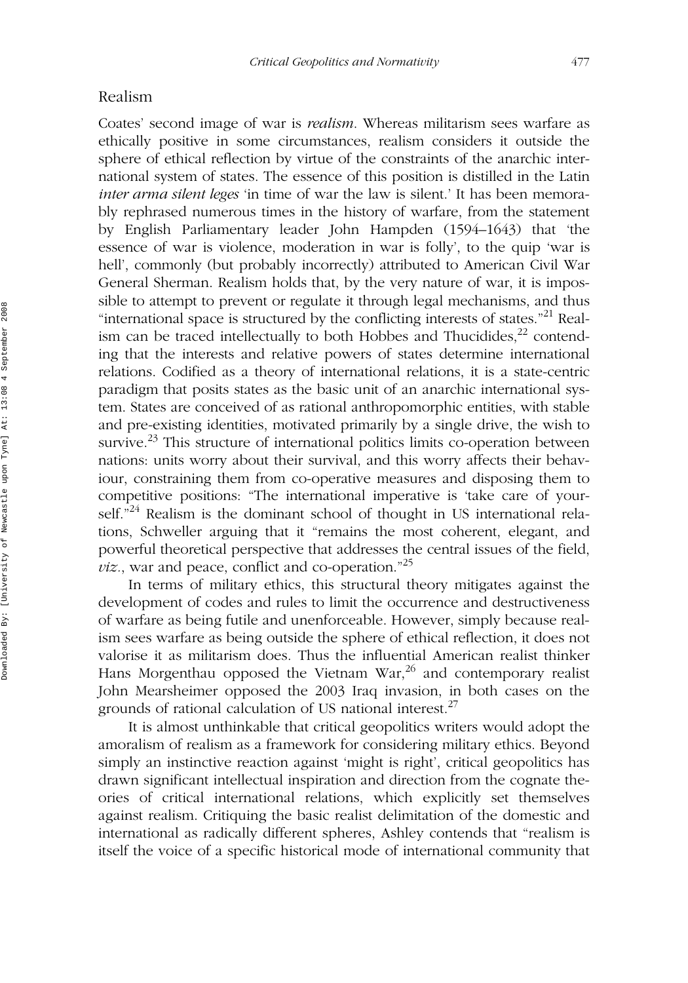#### Realism

Coates' second image of war is *realism*. Whereas militarism sees warfare as ethically positive in some circumstances, realism considers it outside the sphere of ethical reflection by virtue of the constraints of the anarchic international system of states. The essence of this position is distilled in the Latin *inter arma silent leges* 'in time of war the law is silent.' It has been memorably rephrased numerous times in the history of warfare, from the statement by English Parliamentary leader John Hampden (1594–1643) that 'the essence of war is violence, moderation in war is folly', to the quip 'war is hell', commonly (but probably incorrectly) attributed to American Civil War General Sherman. Realism holds that, by the very nature of war, it is impossible to attempt to prevent or regulate it through legal mechanisms, and thus "international space is structured by the conflicting interests of states."21 Realism can be traced intellectually to both Hobbes and Thucidides, $^{22}$  contending that the interests and relative powers of states determine international relations. Codified as a theory of international relations, it is a state-centric paradigm that posits states as the basic unit of an anarchic international system. States are conceived of as rational anthropomorphic entities, with stable and pre-existing identities, motivated primarily by a single drive, the wish to survive.<sup>23</sup> This structure of international politics limits co-operation between nations: units worry about their survival, and this worry affects their behaviour, constraining them from co-operative measures and disposing them to competitive positions: "The international imperative is 'take care of yourself."<sup>24</sup> Realism is the dominant school of thought in US international relations, Schweller arguing that it "remains the most coherent, elegant, and powerful theoretical perspective that addresses the central issues of the field, *viz.*, war and peace, conflict and co-operation."25

In terms of military ethics, this structural theory mitigates against the development of codes and rules to limit the occurrence and destructiveness of warfare as being futile and unenforceable. However, simply because realism sees warfare as being outside the sphere of ethical reflection, it does not valorise it as militarism does. Thus the influential American realist thinker Hans Morgenthau opposed the Vietnam War,<sup>26</sup> and contemporary realist John Mearsheimer opposed the 2003 Iraq invasion, in both cases on the grounds of rational calculation of US national interest.<sup>27</sup>

It is almost unthinkable that critical geopolitics writers would adopt the amoralism of realism as a framework for considering military ethics. Beyond simply an instinctive reaction against 'might is right', critical geopolitics has drawn significant intellectual inspiration and direction from the cognate theories of critical international relations, which explicitly set themselves against realism. Critiquing the basic realist delimitation of the domestic and international as radically different spheres, Ashley contends that "realism is itself the voice of a specific historical mode of international community that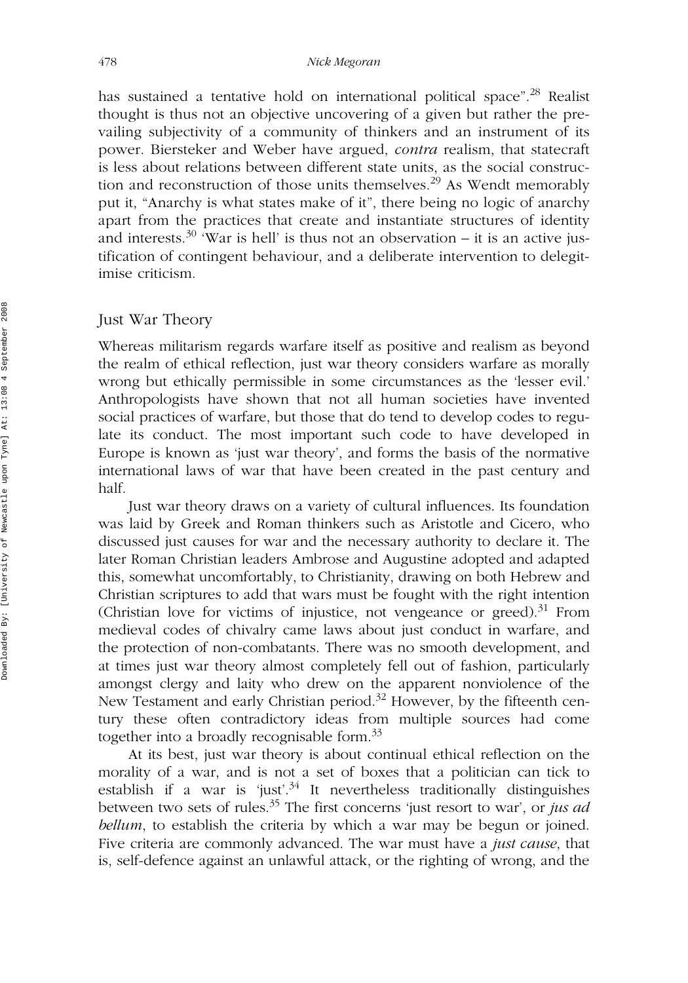has sustained a tentative hold on international political space".<sup>28</sup> Realist thought is thus not an objective uncovering of a given but rather the prevailing subjectivity of a community of thinkers and an instrument of its power. Biersteker and Weber have argued, *contra* realism, that statecraft is less about relations between different state units, as the social construction and reconstruction of those units themselves.<sup>29</sup> As Wendt memorably put it, "Anarchy is what states make of it", there being no logic of anarchy apart from the practices that create and instantiate structures of identity and interests.<sup>30</sup> 'War is hell' is thus not an observation – it is an active justification of contingent behaviour, and a deliberate intervention to delegitimise criticism.

#### Just War Theory

Whereas militarism regards warfare itself as positive and realism as beyond the realm of ethical reflection, just war theory considers warfare as morally wrong but ethically permissible in some circumstances as the 'lesser evil.' Anthropologists have shown that not all human societies have invented social practices of warfare, but those that do tend to develop codes to regulate its conduct. The most important such code to have developed in Europe is known as 'just war theory', and forms the basis of the normative international laws of war that have been created in the past century and half.

Just war theory draws on a variety of cultural influences. Its foundation was laid by Greek and Roman thinkers such as Aristotle and Cicero, who discussed just causes for war and the necessary authority to declare it. The later Roman Christian leaders Ambrose and Augustine adopted and adapted this, somewhat uncomfortably, to Christianity, drawing on both Hebrew and Christian scriptures to add that wars must be fought with the right intention (Christian love for victims of injustice, not vengeance or greed).<sup>31</sup> From medieval codes of chivalry came laws about just conduct in warfare, and the protection of non-combatants. There was no smooth development, and at times just war theory almost completely fell out of fashion, particularly amongst clergy and laity who drew on the apparent nonviolence of the New Testament and early Christian period.<sup>32</sup> However, by the fifteenth century these often contradictory ideas from multiple sources had come together into a broadly recognisable form.<sup>33</sup>

At its best, just war theory is about continual ethical reflection on the morality of a war, and is not a set of boxes that a politician can tick to establish if a war is 'just'.<sup>34</sup> It nevertheless traditionally distinguishes between two sets of rules.35 The first concerns 'just resort to war', or *jus ad bellum*, to establish the criteria by which a war may be begun or joined. Five criteria are commonly advanced. The war must have a *just cause*, that is, self-defence against an unlawful attack, or the righting of wrong, and the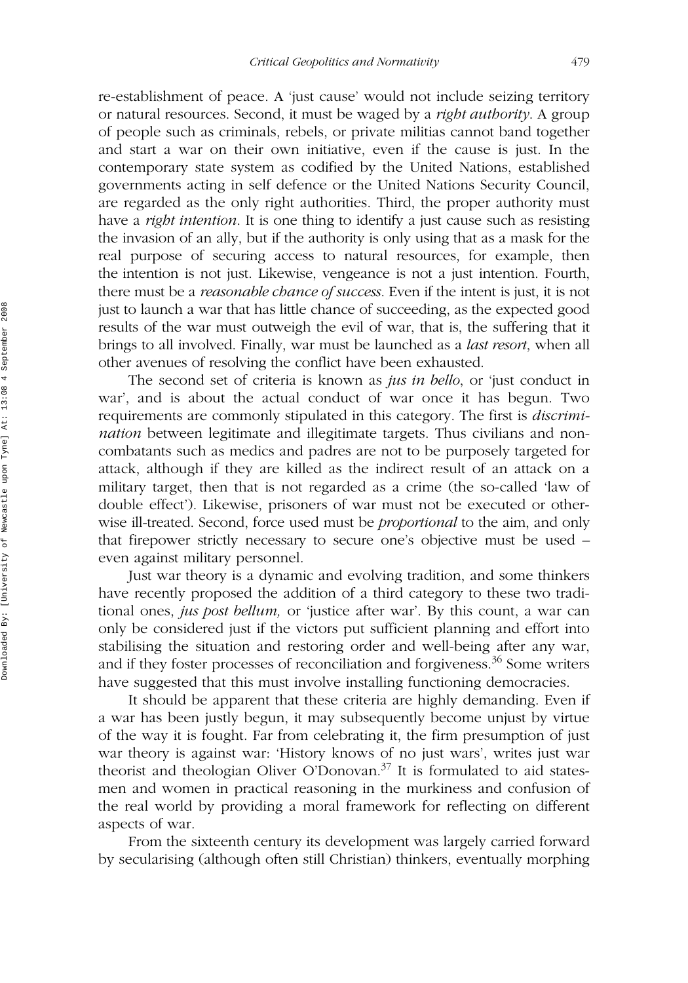re-establishment of peace. A 'just cause' would not include seizing territory or natural resources. Second, it must be waged by a *right authority*. A group of people such as criminals, rebels, or private militias cannot band together and start a war on their own initiative, even if the cause is just. In the contemporary state system as codified by the United Nations, established governments acting in self defence or the United Nations Security Council, are regarded as the only right authorities. Third, the proper authority must have a *right intention*. It is one thing to identify a just cause such as resisting the invasion of an ally, but if the authority is only using that as a mask for the real purpose of securing access to natural resources, for example, then the intention is not just. Likewise, vengeance is not a just intention. Fourth, there must be a *reasonable chance of success*. Even if the intent is just, it is not just to launch a war that has little chance of succeeding, as the expected good results of the war must outweigh the evil of war, that is, the suffering that it brings to all involved. Finally, war must be launched as a *last resort*, when all other avenues of resolving the conflict have been exhausted.

The second set of criteria is known as *jus in bello*, or 'just conduct in war', and is about the actual conduct of war once it has begun. Two requirements are commonly stipulated in this category. The first is *discrimination* between legitimate and illegitimate targets. Thus civilians and noncombatants such as medics and padres are not to be purposely targeted for attack, although if they are killed as the indirect result of an attack on a military target, then that is not regarded as a crime (the so-called 'law of double effect'). Likewise, prisoners of war must not be executed or otherwise ill-treated. Second, force used must be *proportional* to the aim, and only that firepower strictly necessary to secure one's objective must be used – even against military personnel.

Just war theory is a dynamic and evolving tradition, and some thinkers have recently proposed the addition of a third category to these two traditional ones, *jus post bellum,* or 'justice after war'. By this count, a war can only be considered just if the victors put sufficient planning and effort into stabilising the situation and restoring order and well-being after any war, and if they foster processes of reconciliation and forgiveness.<sup>36</sup> Some writers have suggested that this must involve installing functioning democracies.

It should be apparent that these criteria are highly demanding. Even if a war has been justly begun, it may subsequently become unjust by virtue of the way it is fought. Far from celebrating it, the firm presumption of just war theory is against war: 'History knows of no just wars', writes just war theorist and theologian Oliver O'Donovan.<sup>37</sup> It is formulated to aid statesmen and women in practical reasoning in the murkiness and confusion of the real world by providing a moral framework for reflecting on different aspects of war.

From the sixteenth century its development was largely carried forward by secularising (although often still Christian) thinkers, eventually morphing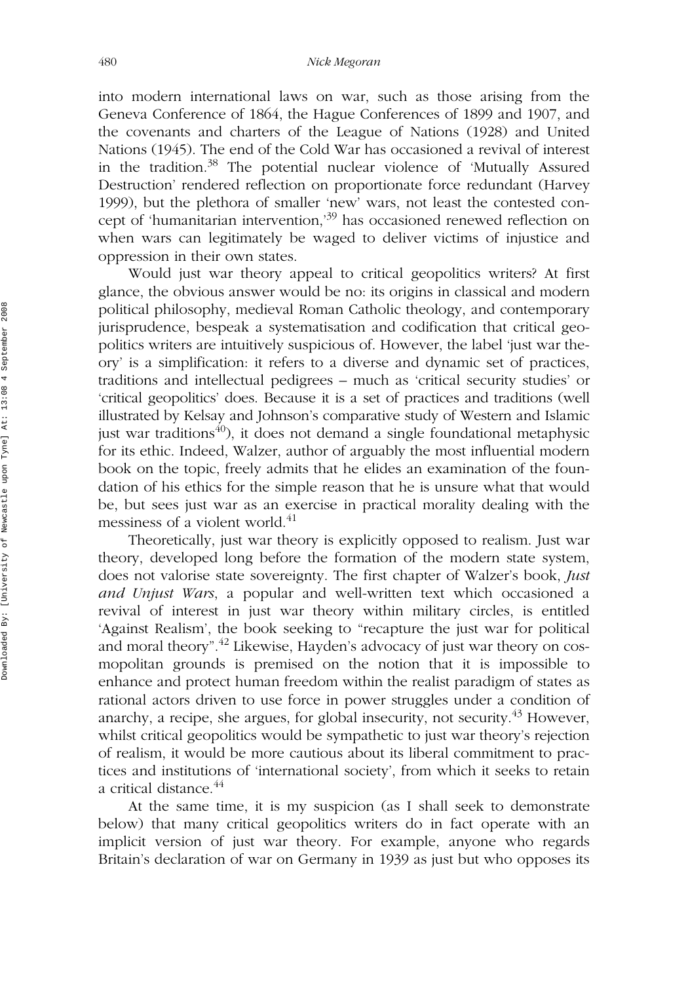into modern international laws on war, such as those arising from the Geneva Conference of 1864, the Hague Conferences of 1899 and 1907, and the covenants and charters of the League of Nations (1928) and United Nations (1945). The end of the Cold War has occasioned a revival of interest in the tradition.<sup>38</sup> The potential nuclear violence of 'Mutually Assured Destruction' rendered reflection on proportionate force redundant (Harvey 1999), but the plethora of smaller 'new' wars, not least the contested concept of 'humanitarian intervention,<sup>39</sup> has occasioned renewed reflection on when wars can legitimately be waged to deliver victims of injustice and oppression in their own states.

Would just war theory appeal to critical geopolitics writers? At first glance, the obvious answer would be no: its origins in classical and modern political philosophy, medieval Roman Catholic theology, and contemporary jurisprudence, bespeak a systematisation and codification that critical geopolitics writers are intuitively suspicious of. However, the label 'just war theory' is a simplification: it refers to a diverse and dynamic set of practices, traditions and intellectual pedigrees – much as 'critical security studies' or 'critical geopolitics' does. Because it is a set of practices and traditions (well illustrated by Kelsay and Johnson's comparative study of Western and Islamic just war traditions $40$ , it does not demand a single foundational metaphysic for its ethic. Indeed, Walzer, author of arguably the most influential modern book on the topic, freely admits that he elides an examination of the foundation of his ethics for the simple reason that he is unsure what that would be, but sees just war as an exercise in practical morality dealing with the messiness of a violent world.<sup>41</sup>

Theoretically, just war theory is explicitly opposed to realism. Just war theory, developed long before the formation of the modern state system, does not valorise state sovereignty. The first chapter of Walzer's book, *Just and Unjust Wars*, a popular and well-written text which occasioned a revival of interest in just war theory within military circles, is entitled 'Against Realism', the book seeking to "recapture the just war for political and moral theory".<sup>42</sup> Likewise, Hayden's advocacy of just war theory on cosmopolitan grounds is premised on the notion that it is impossible to enhance and protect human freedom within the realist paradigm of states as rational actors driven to use force in power struggles under a condition of anarchy, a recipe, she argues, for global insecurity, not security.<sup>43</sup> However, whilst critical geopolitics would be sympathetic to just war theory's rejection of realism, it would be more cautious about its liberal commitment to practices and institutions of 'international society', from which it seeks to retain a critical distance.<sup>44</sup>

At the same time, it is my suspicion (as I shall seek to demonstrate below) that many critical geopolitics writers do in fact operate with an implicit version of just war theory. For example, anyone who regards Britain's declaration of war on Germany in 1939 as just but who opposes its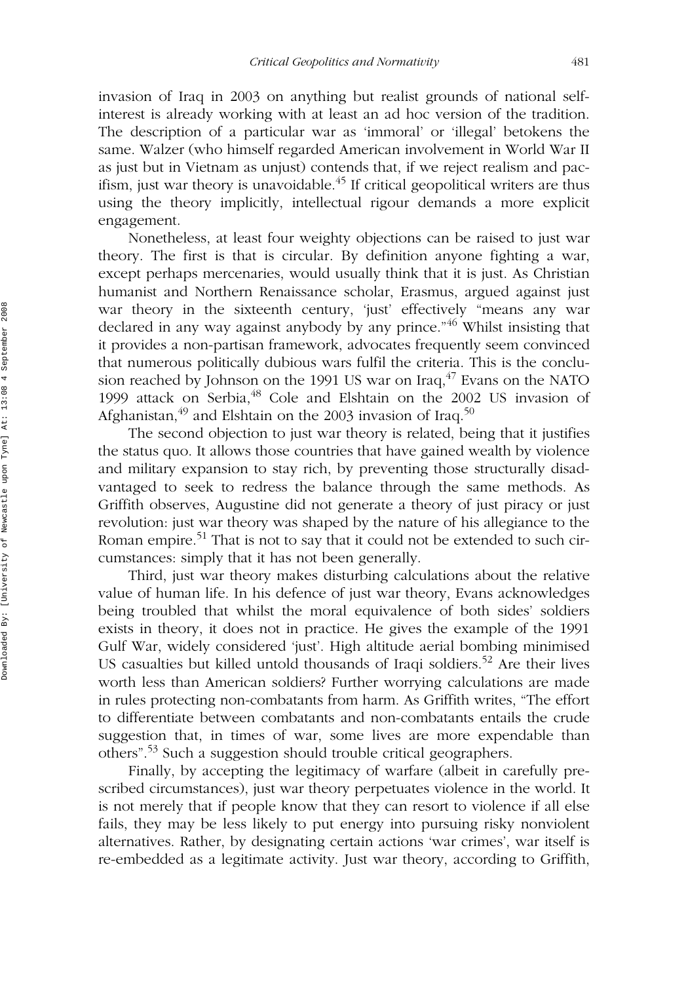invasion of Iraq in 2003 on anything but realist grounds of national selfinterest is already working with at least an ad hoc version of the tradition. The description of a particular war as 'immoral' or 'illegal' betokens the same. Walzer (who himself regarded American involvement in World War II as just but in Vietnam as unjust) contends that, if we reject realism and pacifism, just war theory is unavoidable.<sup>45</sup> If critical geopolitical writers are thus using the theory implicitly, intellectual rigour demands a more explicit engagement.

Nonetheless, at least four weighty objections can be raised to just war theory. The first is that is circular. By definition anyone fighting a war, except perhaps mercenaries, would usually think that it is just. As Christian humanist and Northern Renaissance scholar, Erasmus, argued against just war theory in the sixteenth century, 'just' effectively "means any war declared in any way against anybody by any prince.<sup>"46</sup> Whilst insisting that it provides a non-partisan framework, advocates frequently seem convinced that numerous politically dubious wars fulfil the criteria. This is the conclusion reached by Johnson on the 1991 US war on Iraq,  $47$  Evans on the NATO 1999 attack on Serbia, <sup>48</sup> Cole and Elshtain on the 2002 US invasion of Afghanistan, $49$  and Elshtain on the 2003 invasion of Iraq. $50$ 

The second objection to just war theory is related, being that it justifies the status quo. It allows those countries that have gained wealth by violence and military expansion to stay rich, by preventing those structurally disadvantaged to seek to redress the balance through the same methods. As Griffith observes, Augustine did not generate a theory of just piracy or just revolution: just war theory was shaped by the nature of his allegiance to the Roman empire.<sup>51</sup> That is not to say that it could not be extended to such circumstances: simply that it has not been generally.

Third, just war theory makes disturbing calculations about the relative value of human life. In his defence of just war theory, Evans acknowledges being troubled that whilst the moral equivalence of both sides' soldiers exists in theory, it does not in practice. He gives the example of the 1991 Gulf War, widely considered 'just'. High altitude aerial bombing minimised US casualties but killed untold thousands of Iraqi soldiers.<sup>52</sup> Are their lives worth less than American soldiers? Further worrying calculations are made in rules protecting non-combatants from harm. As Griffith writes, "The effort to differentiate between combatants and non-combatants entails the crude suggestion that, in times of war, some lives are more expendable than others".<sup>53</sup> Such a suggestion should trouble critical geographers.

Finally, by accepting the legitimacy of warfare (albeit in carefully prescribed circumstances), just war theory perpetuates violence in the world. It is not merely that if people know that they can resort to violence if all else fails, they may be less likely to put energy into pursuing risky nonviolent alternatives. Rather, by designating certain actions 'war crimes', war itself is re-embedded as a legitimate activity. Just war theory, according to Griffith,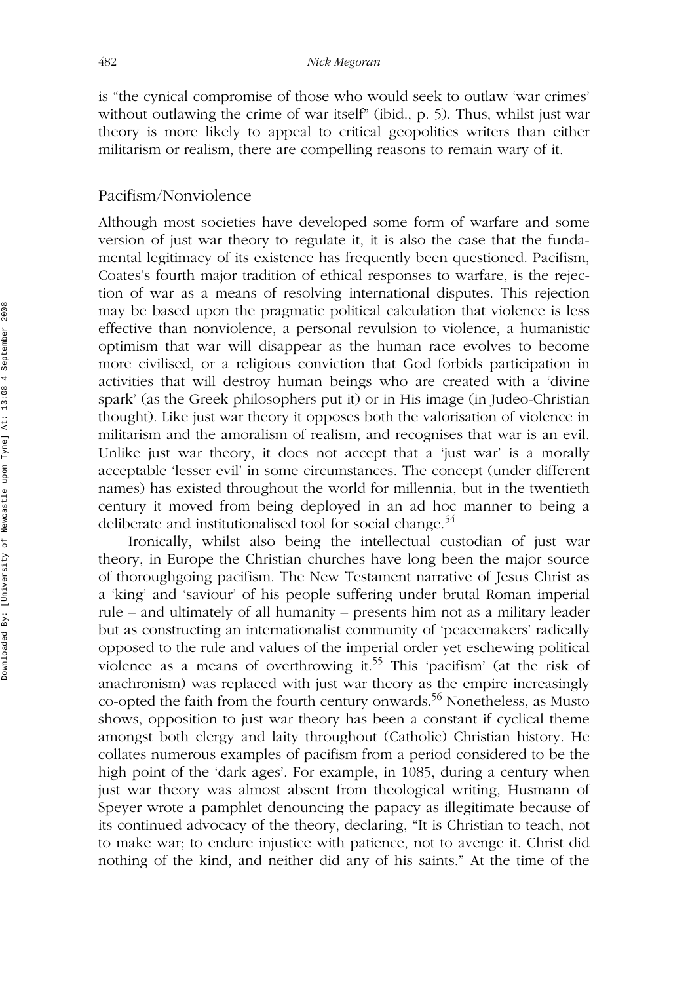is "the cynical compromise of those who would seek to outlaw 'war crimes' without outlawing the crime of war itself" (ibid., p. 5). Thus, whilst just war theory is more likely to appeal to critical geopolitics writers than either militarism or realism, there are compelling reasons to remain wary of it.

#### Pacifism/Nonviolence

Although most societies have developed some form of warfare and some version of just war theory to regulate it, it is also the case that the fundamental legitimacy of its existence has frequently been questioned. Pacifism, Coates's fourth major tradition of ethical responses to warfare, is the rejection of war as a means of resolving international disputes. This rejection may be based upon the pragmatic political calculation that violence is less effective than nonviolence, a personal revulsion to violence, a humanistic optimism that war will disappear as the human race evolves to become more civilised, or a religious conviction that God forbids participation in activities that will destroy human beings who are created with a 'divine spark' (as the Greek philosophers put it) or in His image (in Judeo-Christian thought). Like just war theory it opposes both the valorisation of violence in militarism and the amoralism of realism, and recognises that war is an evil. Unlike just war theory, it does not accept that a 'just war' is a morally acceptable 'lesser evil' in some circumstances. The concept (under different names) has existed throughout the world for millennia, but in the twentieth century it moved from being deployed in an ad hoc manner to being a deliberate and institutionalised tool for social change.<sup>54</sup>

Ironically, whilst also being the intellectual custodian of just war theory, in Europe the Christian churches have long been the major source of thoroughgoing pacifism. The New Testament narrative of Jesus Christ as a 'king' and 'saviour' of his people suffering under brutal Roman imperial rule – and ultimately of all humanity – presents him not as a military leader but as constructing an internationalist community of 'peacemakers' radically opposed to the rule and values of the imperial order yet eschewing political violence as a means of overthrowing it.<sup>55</sup> This 'pacifism' (at the risk of anachronism) was replaced with just war theory as the empire increasingly co-opted the faith from the fourth century onwards.<sup>56</sup> Nonetheless, as Musto shows, opposition to just war theory has been a constant if cyclical theme amongst both clergy and laity throughout (Catholic) Christian history. He collates numerous examples of pacifism from a period considered to be the high point of the 'dark ages'. For example, in 1085, during a century when just war theory was almost absent from theological writing, Husmann of Speyer wrote a pamphlet denouncing the papacy as illegitimate because of its continued advocacy of the theory, declaring, "It is Christian to teach, not to make war; to endure injustice with patience, not to avenge it. Christ did nothing of the kind, and neither did any of his saints." At the time of the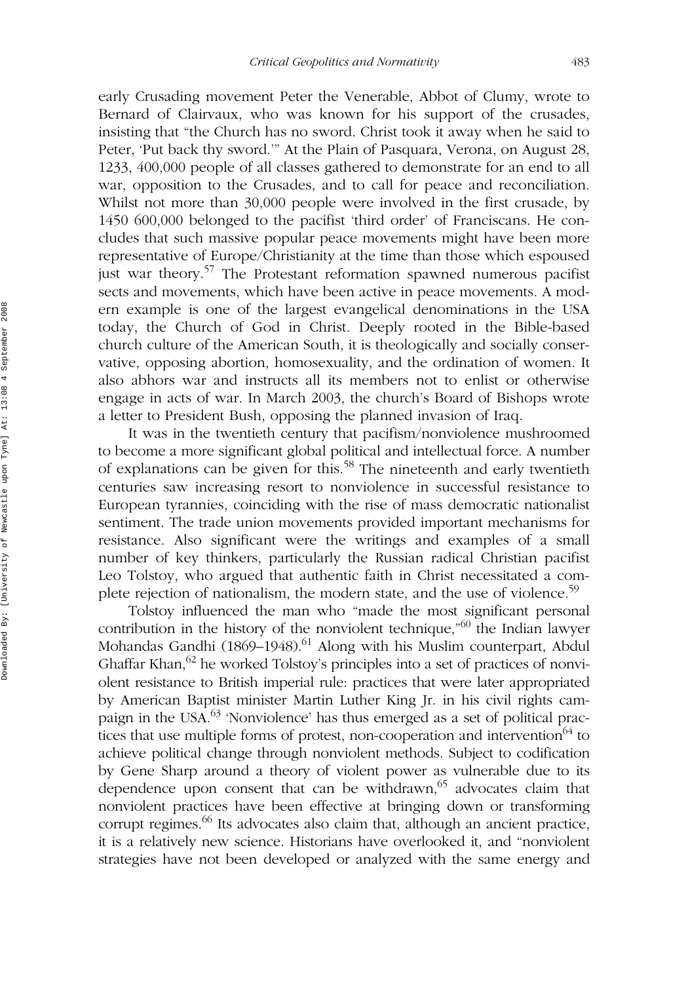early Crusading movement Peter the Venerable, Abbot of Clumy, wrote to Bernard of Clairvaux, who was known for his support of the crusades, insisting that "the Church has no sword. Christ took it away when he said to Peter, 'Put back thy sword.'" At the Plain of Pasquara, Verona, on August 28, 1233, 400,000 people of all classes gathered to demonstrate for an end to all war, opposition to the Crusades, and to call for peace and reconciliation. Whilst not more than 30,000 people were involved in the first crusade, by 1450 600,000 belonged to the pacifist 'third order' of Franciscans. He concludes that such massive popular peace movements might have been more representative of Europe/Christianity at the time than those which espoused just war theory.<sup>57</sup> The Protestant reformation spawned numerous pacifist sects and movements, which have been active in peace movements. A modern example is one of the largest evangelical denominations in the USA today, the Church of God in Christ. Deeply rooted in the Bible-based church culture of the American South, it is theologically and socially conservative, opposing abortion, homosexuality, and the ordination of women. It also abhors war and instructs all its members not to enlist or otherwise engage in acts of war. In March 2003, the church's Board of Bishops wrote a letter to President Bush, opposing the planned invasion of Iraq.

It was in the twentieth century that pacifism/nonviolence mushroomed to become a more significant global political and intellectual force. A number of explanations can be given for this.58 The nineteenth and early twentieth centuries saw increasing resort to nonviolence in successful resistance to European tyrannies, coinciding with the rise of mass democratic nationalist sentiment. The trade union movements provided important mechanisms for resistance. Also significant were the writings and examples of a small number of key thinkers, particularly the Russian radical Christian pacifist Leo Tolstoy, who argued that authentic faith in Christ necessitated a complete rejection of nationalism, the modern state, and the use of violence.<sup>59</sup>

Tolstoy influenced the man who "made the most significant personal contribution in the history of the nonviolent technique,"<sup>60</sup> the Indian lawyer Mohandas Gandhi (1869–1948).<sup>61</sup> Along with his Muslim counterpart, Abdul Ghaffar Khan, $62$  he worked Tolstoy's principles into a set of practices of nonviolent resistance to British imperial rule: practices that were later appropriated by American Baptist minister Martin Luther King Jr. in his civil rights campaign in the USA.<sup>63</sup> 'Nonviolence' has thus emerged as a set of political practices that use multiple forms of protest, non-cooperation and intervention $64$  to achieve political change through nonviolent methods. Subject to codification by Gene Sharp around a theory of violent power as vulnerable due to its dependence upon consent that can be withdrawn,  $65$  advocates claim that nonviolent practices have been effective at bringing down or transforming corrupt regimes.<sup>66</sup> Its advocates also claim that, although an ancient practice, it is a relatively new science. Historians have overlooked it, and "nonviolent strategies have not been developed or analyzed with the same energy and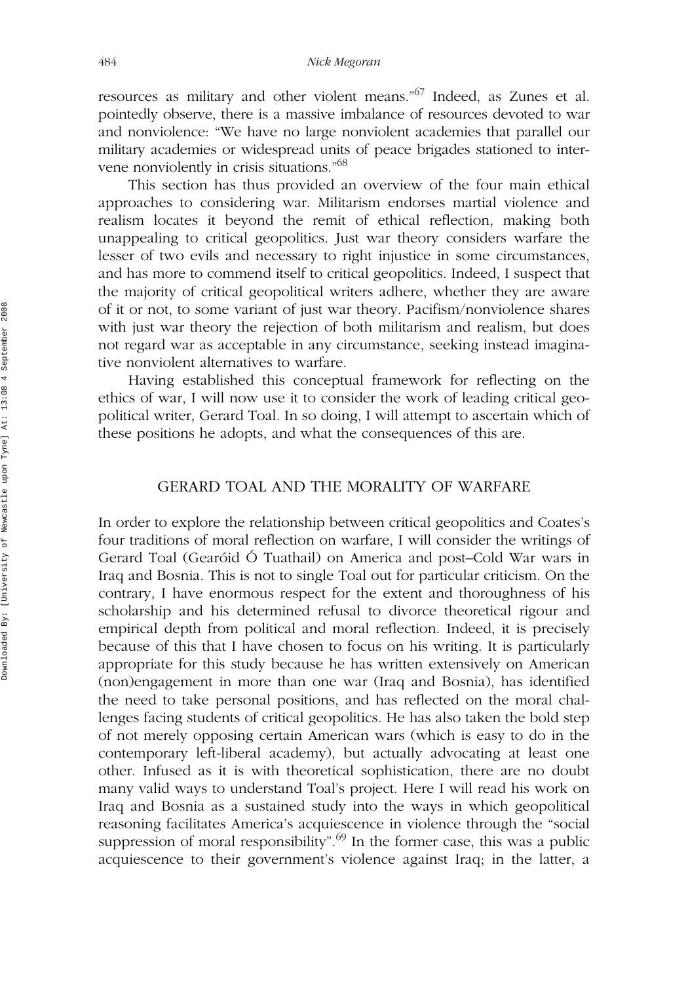resources as military and other violent means."67 Indeed, as Zunes et al. pointedly observe, there is a massive imbalance of resources devoted to war and nonviolence: "We have no large nonviolent academies that parallel our military academies or widespread units of peace brigades stationed to intervene nonviolently in crisis situations."68

This section has thus provided an overview of the four main ethical approaches to considering war. Militarism endorses martial violence and realism locates it beyond the remit of ethical reflection, making both unappealing to critical geopolitics. Just war theory considers warfare the lesser of two evils and necessary to right injustice in some circumstances, and has more to commend itself to critical geopolitics. Indeed, I suspect that the majority of critical geopolitical writers adhere, whether they are aware of it or not, to some variant of just war theory. Pacifism/nonviolence shares with just war theory the rejection of both militarism and realism, but does not regard war as acceptable in any circumstance, seeking instead imaginative nonviolent alternatives to warfare.

Having established this conceptual framework for reflecting on the ethics of war, I will now use it to consider the work of leading critical geopolitical writer, Gerard Toal. In so doing, I will attempt to ascertain which of these positions he adopts, and what the consequences of this are.

#### GERARD TOAL AND THE MORALITY OF WARFARE

In order to explore the relationship between critical geopolitics and Coates's four traditions of moral reflection on warfare, I will consider the writings of Gerard Toal (Gearóid Ó Tuathail) on America and post–Cold War wars in Iraq and Bosnia. This is not to single Toal out for particular criticism. On the contrary, I have enormous respect for the extent and thoroughness of his scholarship and his determined refusal to divorce theoretical rigour and empirical depth from political and moral reflection. Indeed, it is precisely because of this that I have chosen to focus on his writing. It is particularly appropriate for this study because he has written extensively on American (non)engagement in more than one war (Iraq and Bosnia), has identified the need to take personal positions, and has reflected on the moral challenges facing students of critical geopolitics. He has also taken the bold step of not merely opposing certain American wars (which is easy to do in the contemporary left-liberal academy), but actually advocating at least one other. Infused as it is with theoretical sophistication, there are no doubt many valid ways to understand Toal's project. Here I will read his work on Iraq and Bosnia as a sustained study into the ways in which geopolitical reasoning facilitates America's acquiescence in violence through the "social suppression of moral responsibility". $^{69}$  In the former case, this was a public acquiescence to their government's violence against Iraq; in the latter, a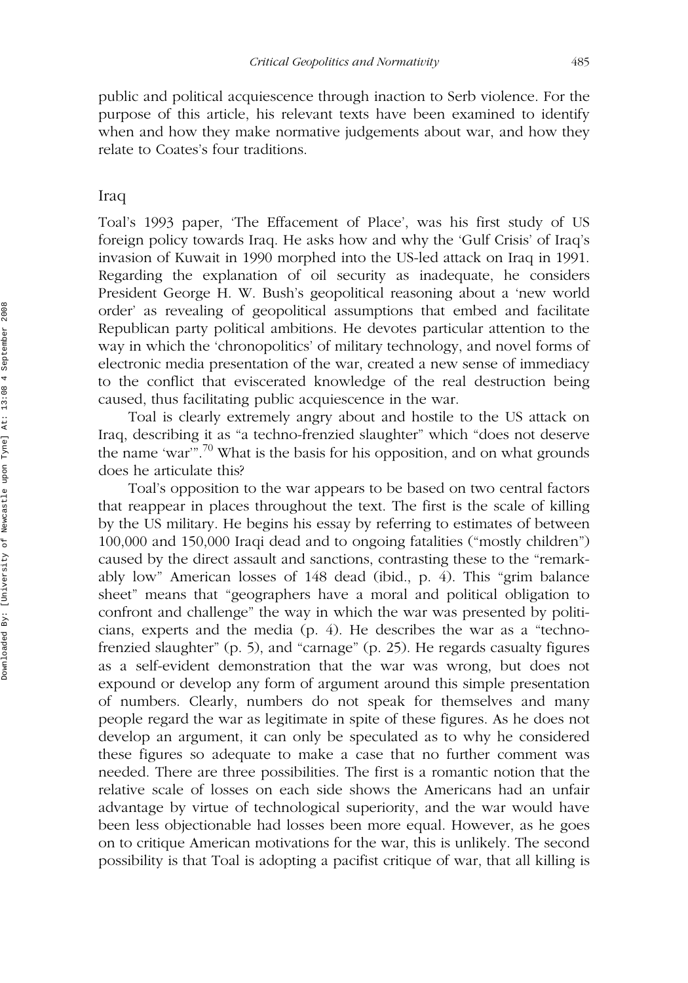public and political acquiescence through inaction to Serb violence. For the purpose of this article, his relevant texts have been examined to identify when and how they make normative judgements about war, and how they relate to Coates's four traditions.

#### Iraq

Toal's 1993 paper, 'The Effacement of Place', was his first study of US foreign policy towards Iraq. He asks how and why the 'Gulf Crisis' of Iraq's invasion of Kuwait in 1990 morphed into the US-led attack on Iraq in 1991. Regarding the explanation of oil security as inadequate, he considers President George H. W. Bush's geopolitical reasoning about a 'new world order' as revealing of geopolitical assumptions that embed and facilitate Republican party political ambitions. He devotes particular attention to the way in which the 'chronopolitics' of military technology, and novel forms of electronic media presentation of the war, created a new sense of immediacy to the conflict that eviscerated knowledge of the real destruction being caused, thus facilitating public acquiescence in the war.

Toal is clearly extremely angry about and hostile to the US attack on Iraq, describing it as "a techno-frenzied slaughter" which "does not deserve the name 'war'".<sup>70</sup> What is the basis for his opposition, and on what grounds does he articulate this?

Toal's opposition to the war appears to be based on two central factors that reappear in places throughout the text. The first is the scale of killing by the US military. He begins his essay by referring to estimates of between 100,000 and 150,000 Iraqi dead and to ongoing fatalities ("mostly children") caused by the direct assault and sanctions, contrasting these to the "remarkably low" American losses of 148 dead (ibid., p. 4). This "grim balance sheet" means that "geographers have a moral and political obligation to confront and challenge" the way in which the war was presented by politicians, experts and the media (p. 4). He describes the war as a "technofrenzied slaughter" (p. 5), and "carnage" (p. 25). He regards casualty figures as a self-evident demonstration that the war was wrong, but does not expound or develop any form of argument around this simple presentation of numbers. Clearly, numbers do not speak for themselves and many people regard the war as legitimate in spite of these figures. As he does not develop an argument, it can only be speculated as to why he considered these figures so adequate to make a case that no further comment was needed. There are three possibilities. The first is a romantic notion that the relative scale of losses on each side shows the Americans had an unfair advantage by virtue of technological superiority, and the war would have been less objectionable had losses been more equal. However, as he goes on to critique American motivations for the war, this is unlikely. The second possibility is that Toal is adopting a pacifist critique of war, that all killing is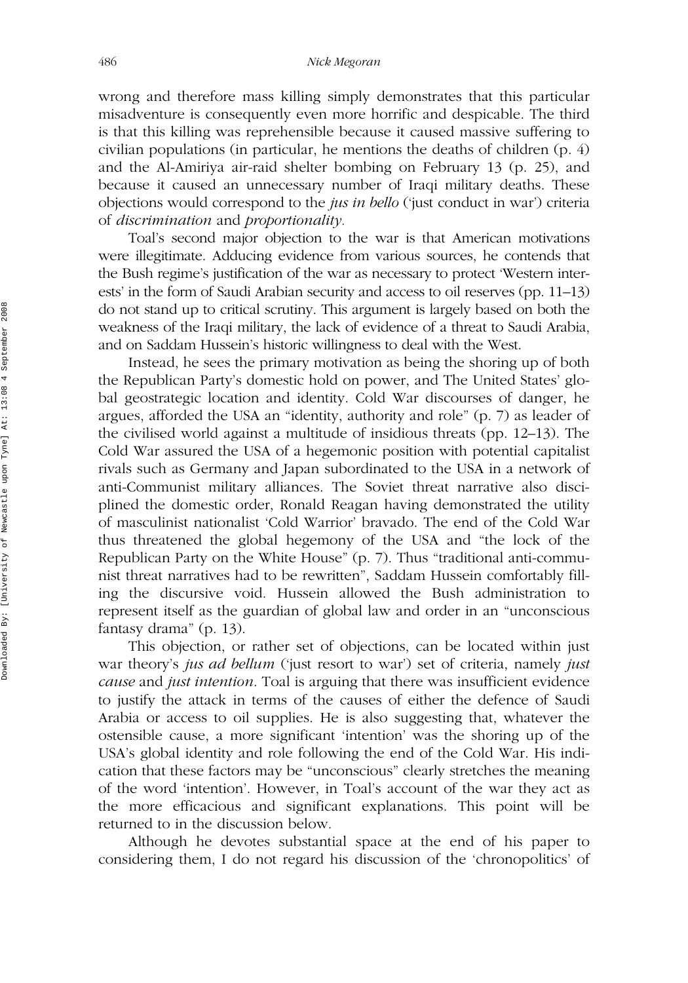wrong and therefore mass killing simply demonstrates that this particular misadventure is consequently even more horrific and despicable. The third is that this killing was reprehensible because it caused massive suffering to civilian populations (in particular, he mentions the deaths of children (p. 4) and the Al-Amiriya air-raid shelter bombing on February 13 (p. 25), and because it caused an unnecessary number of Iraqi military deaths. These objections would correspond to the *jus in bello* ('just conduct in war') criteria of *discrimination* and *proportionality.*

Toal's second major objection to the war is that American motivations were illegitimate. Adducing evidence from various sources, he contends that the Bush regime's justification of the war as necessary to protect 'Western interests' in the form of Saudi Arabian security and access to oil reserves (pp. 11–13) do not stand up to critical scrutiny. This argument is largely based on both the weakness of the Iraqi military, the lack of evidence of a threat to Saudi Arabia, and on Saddam Hussein's historic willingness to deal with the West.

Instead, he sees the primary motivation as being the shoring up of both the Republican Party's domestic hold on power, and The United States' global geostrategic location and identity. Cold War discourses of danger, he argues, afforded the USA an "identity, authority and role" (p. 7) as leader of the civilised world against a multitude of insidious threats (pp. 12–13). The Cold War assured the USA of a hegemonic position with potential capitalist rivals such as Germany and Japan subordinated to the USA in a network of anti-Communist military alliances. The Soviet threat narrative also disciplined the domestic order, Ronald Reagan having demonstrated the utility of masculinist nationalist 'Cold Warrior' bravado. The end of the Cold War thus threatened the global hegemony of the USA and "the lock of the Republican Party on the White House" (p. 7). Thus "traditional anti-communist threat narratives had to be rewritten", Saddam Hussein comfortably filling the discursive void. Hussein allowed the Bush administration to represent itself as the guardian of global law and order in an "unconscious fantasy drama" (p. 13).

This objection, or rather set of objections, can be located within just war theory's *jus ad bellum* ('just resort to war') set of criteria, namely *just cause* and *just intention*. Toal is arguing that there was insufficient evidence to justify the attack in terms of the causes of either the defence of Saudi Arabia or access to oil supplies. He is also suggesting that, whatever the ostensible cause, a more significant 'intention' was the shoring up of the USA's global identity and role following the end of the Cold War. His indication that these factors may be "unconscious" clearly stretches the meaning of the word 'intention'. However, in Toal's account of the war they act as the more efficacious and significant explanations. This point will be returned to in the discussion below.

Although he devotes substantial space at the end of his paper to considering them, I do not regard his discussion of the 'chronopolitics' of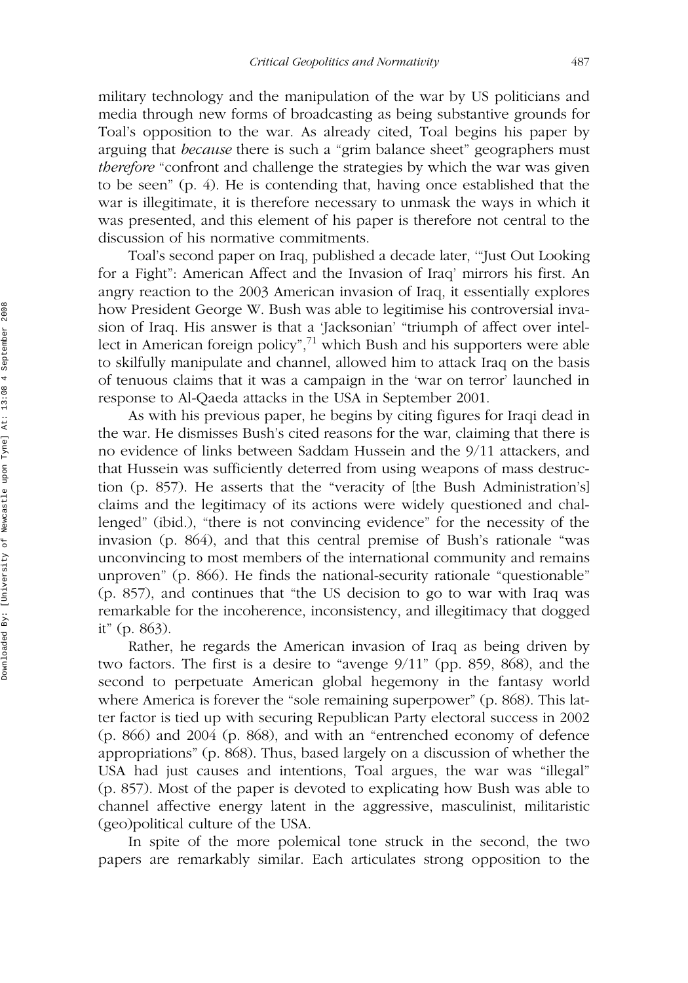military technology and the manipulation of the war by US politicians and media through new forms of broadcasting as being substantive grounds for Toal's opposition to the war. As already cited, Toal begins his paper by arguing that *because* there is such a "grim balance sheet" geographers must *therefore* "confront and challenge the strategies by which the war was given to be seen" (p. 4). He is contending that, having once established that the war is illegitimate, it is therefore necessary to unmask the ways in which it was presented, and this element of his paper is therefore not central to the discussion of his normative commitments.

Toal's second paper on Iraq, published a decade later, '"Just Out Looking for a Fight": American Affect and the Invasion of Iraq' mirrors his first. An angry reaction to the 2003 American invasion of Iraq, it essentially explores how President George W. Bush was able to legitimise his controversial invasion of Iraq. His answer is that a 'Jacksonian' "triumph of affect over intellect in American foreign policy", $71$  which Bush and his supporters were able to skilfully manipulate and channel, allowed him to attack Iraq on the basis of tenuous claims that it was a campaign in the 'war on terror' launched in response to Al-Qaeda attacks in the USA in September 2001.

As with his previous paper, he begins by citing figures for Iraqi dead in the war. He dismisses Bush's cited reasons for the war, claiming that there is no evidence of links between Saddam Hussein and the 9/11 attackers, and that Hussein was sufficiently deterred from using weapons of mass destruction (p. 857). He asserts that the "veracity of [the Bush Administration's] claims and the legitimacy of its actions were widely questioned and challenged" (ibid.), "there is not convincing evidence" for the necessity of the invasion (p. 864), and that this central premise of Bush's rationale "was unconvincing to most members of the international community and remains unproven" (p. 866). He finds the national-security rationale "questionable" (p. 857), and continues that "the US decision to go to war with Iraq was remarkable for the incoherence, inconsistency, and illegitimacy that dogged it" (p. 863).

Rather, he regards the American invasion of Iraq as being driven by two factors. The first is a desire to "avenge 9/11" (pp. 859, 868), and the second to perpetuate American global hegemony in the fantasy world where America is forever the "sole remaining superpower" (p. 868). This latter factor is tied up with securing Republican Party electoral success in 2002 (p. 866) and 2004 (p. 868), and with an "entrenched economy of defence appropriations" (p. 868). Thus, based largely on a discussion of whether the USA had just causes and intentions, Toal argues, the war was "illegal" (p. 857). Most of the paper is devoted to explicating how Bush was able to channel affective energy latent in the aggressive, masculinist, militaristic (geo)political culture of the USA.

In spite of the more polemical tone struck in the second, the two papers are remarkably similar. Each articulates strong opposition to the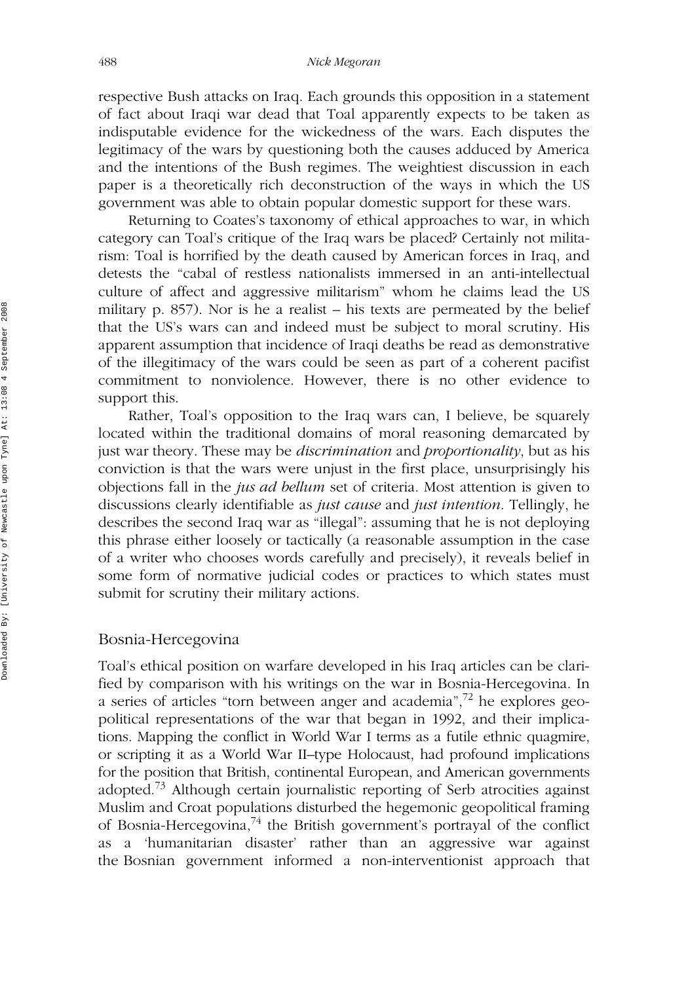respective Bush attacks on Iraq. Each grounds this opposition in a statement of fact about Iraqi war dead that Toal apparently expects to be taken as indisputable evidence for the wickedness of the wars. Each disputes the legitimacy of the wars by questioning both the causes adduced by America and the intentions of the Bush regimes. The weightiest discussion in each paper is a theoretically rich deconstruction of the ways in which the US government was able to obtain popular domestic support for these wars.

Returning to Coates's taxonomy of ethical approaches to war, in which category can Toal's critique of the Iraq wars be placed? Certainly not militarism: Toal is horrified by the death caused by American forces in Iraq, and detests the "cabal of restless nationalists immersed in an anti-intellectual culture of affect and aggressive militarism" whom he claims lead the US military p. 857). Nor is he a realist – his texts are permeated by the belief that the US's wars can and indeed must be subject to moral scrutiny. His apparent assumption that incidence of Iraqi deaths be read as demonstrative of the illegitimacy of the wars could be seen as part of a coherent pacifist commitment to nonviolence. However, there is no other evidence to support this.

Rather, Toal's opposition to the Iraq wars can, I believe, be squarely located within the traditional domains of moral reasoning demarcated by just war theory. These may be *discrimination* and *proportionality*, but as his conviction is that the wars were unjust in the first place, unsurprisingly his objections fall in the *jus ad bellum* set of criteria. Most attention is given to discussions clearly identifiable as *just cause* and *just intention*. Tellingly, he describes the second Iraq war as "illegal": assuming that he is not deploying this phrase either loosely or tactically (a reasonable assumption in the case of a writer who chooses words carefully and precisely), it reveals belief in some form of normative judicial codes or practices to which states must submit for scrutiny their military actions.

#### Bosnia-Hercegovina

Toal's ethical position on warfare developed in his Iraq articles can be clarified by comparison with his writings on the war in Bosnia-Hercegovina. In a series of articles "torn between anger and academia", $^{72}$  he explores geopolitical representations of the war that began in 1992, and their implications. Mapping the conflict in World War I terms as a futile ethnic quagmire, or scripting it as a World War II–type Holocaust, had profound implications for the position that British, continental European, and American governments adopted.<sup>73</sup> Although certain journalistic reporting of Serb atrocities against Muslim and Croat populations disturbed the hegemonic geopolitical framing of Bosnia-Hercegovina,<sup>74</sup> the British government's portrayal of the conflict as a 'humanitarian disaster' rather than an aggressive war against the Bosnian government informed a non-interventionist approach that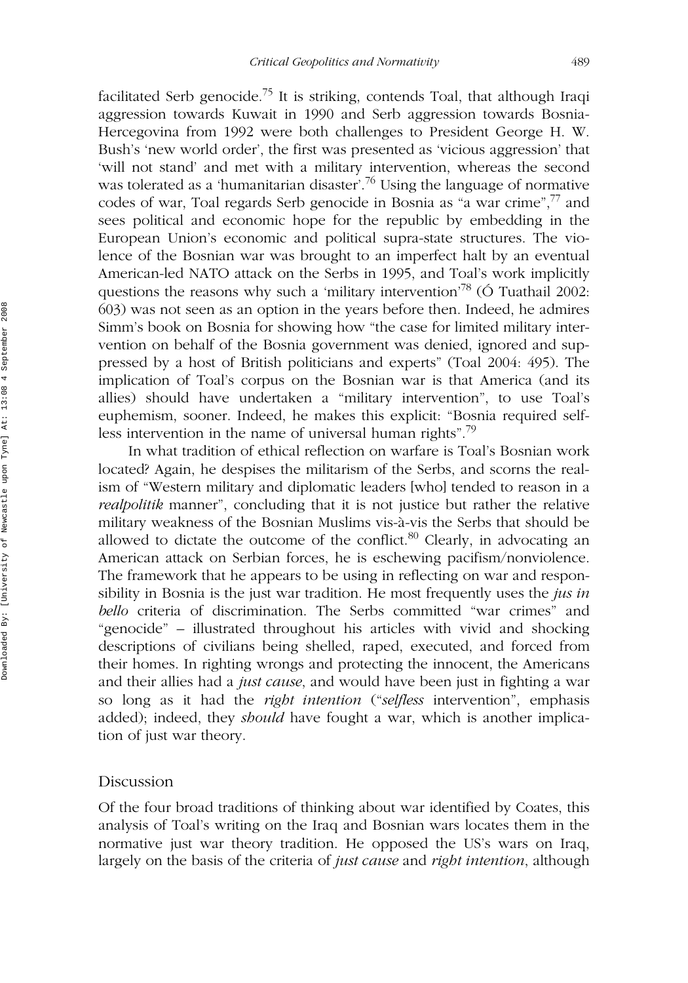facilitated Serb genocide.<sup>75</sup> It is striking, contends Toal, that although Iraqi aggression towards Kuwait in 1990 and Serb aggression towards Bosnia-Hercegovina from 1992 were both challenges to President George H. W. Bush's 'new world order', the first was presented as 'vicious aggression' that 'will not stand' and met with a military intervention, whereas the second was tolerated as a 'humanitarian disaster'.<sup>76</sup> Using the language of normative codes of war, Toal regards Serb genocide in Bosnia as "a war crime",77 and sees political and economic hope for the republic by embedding in the European Union's economic and political supra-state structures. The violence of the Bosnian war was brought to an imperfect halt by an eventual American-led NATO attack on the Serbs in 1995, and Toal's work implicitly questions the reasons why such a 'military intervention'<sup>78</sup> (Ó Tuathail 2002: 603) was not seen as an option in the years before then. Indeed, he admires Simm's book on Bosnia for showing how "the case for limited military intervention on behalf of the Bosnia government was denied, ignored and suppressed by a host of British politicians and experts" (Toal 2004: 495). The implication of Toal's corpus on the Bosnian war is that America (and its allies) should have undertaken a "military intervention", to use Toal's euphemism, sooner. Indeed, he makes this explicit: "Bosnia required selfless intervention in the name of universal human rights".<sup>79</sup>

In what tradition of ethical reflection on warfare is Toal's Bosnian work located? Again, he despises the militarism of the Serbs, and scorns the realism of "Western military and diplomatic leaders [who] tended to reason in a *realpolitik* manner", concluding that it is not justice but rather the relative military weakness of the Bosnian Muslims vis-à-vis the Serbs that should be allowed to dictate the outcome of the conflict. $80$  Clearly, in advocating an American attack on Serbian forces, he is eschewing pacifism/nonviolence. The framework that he appears to be using in reflecting on war and responsibility in Bosnia is the just war tradition. He most frequently uses the *jus in bello* criteria of discrimination. The Serbs committed "war crimes" and "genocide" – illustrated throughout his articles with vivid and shocking descriptions of civilians being shelled, raped, executed, and forced from their homes. In righting wrongs and protecting the innocent, the Americans and their allies had a *just cause*, and would have been just in fighting a war so long as it had the *right intention* ("*selfless* intervention", emphasis added); indeed, they *should* have fought a war, which is another implication of just war theory.

#### Discussion

Of the four broad traditions of thinking about war identified by Coates, this analysis of Toal's writing on the Iraq and Bosnian wars locates them in the normative just war theory tradition. He opposed the US's wars on Iraq, largely on the basis of the criteria of *just cause* and *right intention*, although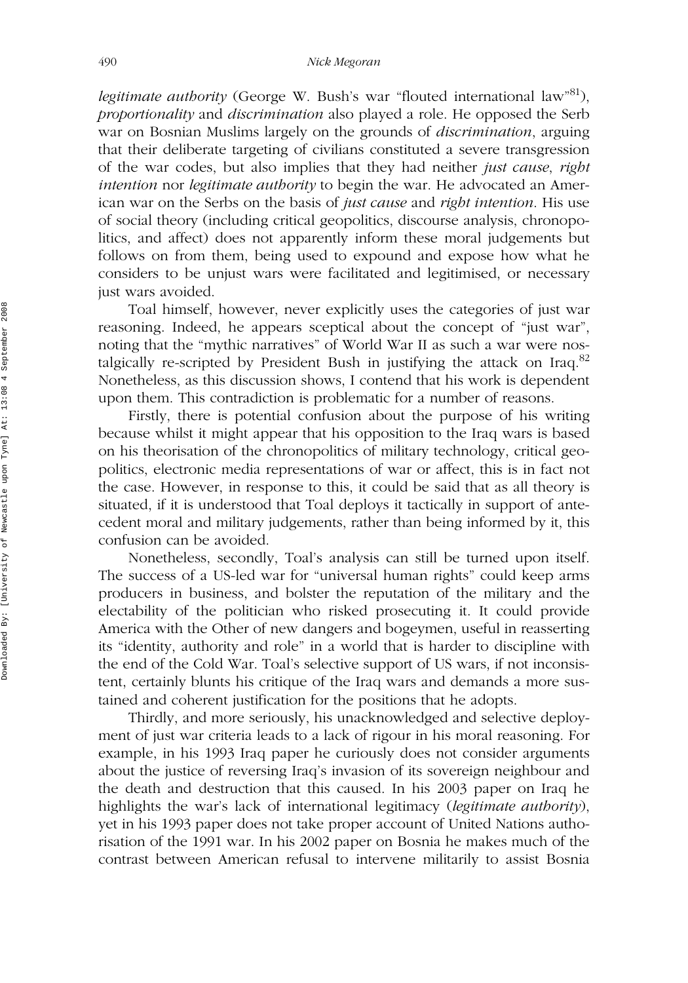*legitimate authority* (George W. Bush's war "flouted international law"81), *proportionality* and *discrimination* also played a role. He opposed the Serb war on Bosnian Muslims largely on the grounds of *discrimination*, arguing that their deliberate targeting of civilians constituted a severe transgression of the war codes, but also implies that they had neither *just cause*, *right intention* nor *legitimate authority* to begin the war. He advocated an American war on the Serbs on the basis of *just cause* and *right intention*. His use of social theory (including critical geopolitics, discourse analysis, chronopolitics, and affect) does not apparently inform these moral judgements but follows on from them, being used to expound and expose how what he considers to be unjust wars were facilitated and legitimised, or necessary just wars avoided.

Toal himself, however, never explicitly uses the categories of just war reasoning. Indeed, he appears sceptical about the concept of "just war", noting that the "mythic narratives" of World War II as such a war were nostalgically re-scripted by President Bush in justifying the attack on Iraq.<sup>82</sup> Nonetheless, as this discussion shows, I contend that his work is dependent upon them. This contradiction is problematic for a number of reasons.

Firstly, there is potential confusion about the purpose of his writing because whilst it might appear that his opposition to the Iraq wars is based on his theorisation of the chronopolitics of military technology, critical geopolitics, electronic media representations of war or affect, this is in fact not the case. However, in response to this, it could be said that as all theory is situated, if it is understood that Toal deploys it tactically in support of antecedent moral and military judgements, rather than being informed by it, this confusion can be avoided.

Nonetheless, secondly, Toal's analysis can still be turned upon itself. The success of a US-led war for "universal human rights" could keep arms producers in business, and bolster the reputation of the military and the electability of the politician who risked prosecuting it. It could provide America with the Other of new dangers and bogeymen, useful in reasserting its "identity, authority and role" in a world that is harder to discipline with the end of the Cold War. Toal's selective support of US wars, if not inconsistent, certainly blunts his critique of the Iraq wars and demands a more sustained and coherent justification for the positions that he adopts.

Thirdly, and more seriously, his unacknowledged and selective deployment of just war criteria leads to a lack of rigour in his moral reasoning. For example, in his 1993 Iraq paper he curiously does not consider arguments about the justice of reversing Iraq's invasion of its sovereign neighbour and the death and destruction that this caused. In his 2003 paper on Iraq he highlights the war's lack of international legitimacy (*legitimate authority*), yet in his 1993 paper does not take proper account of United Nations authorisation of the 1991 war. In his 2002 paper on Bosnia he makes much of the contrast between American refusal to intervene militarily to assist Bosnia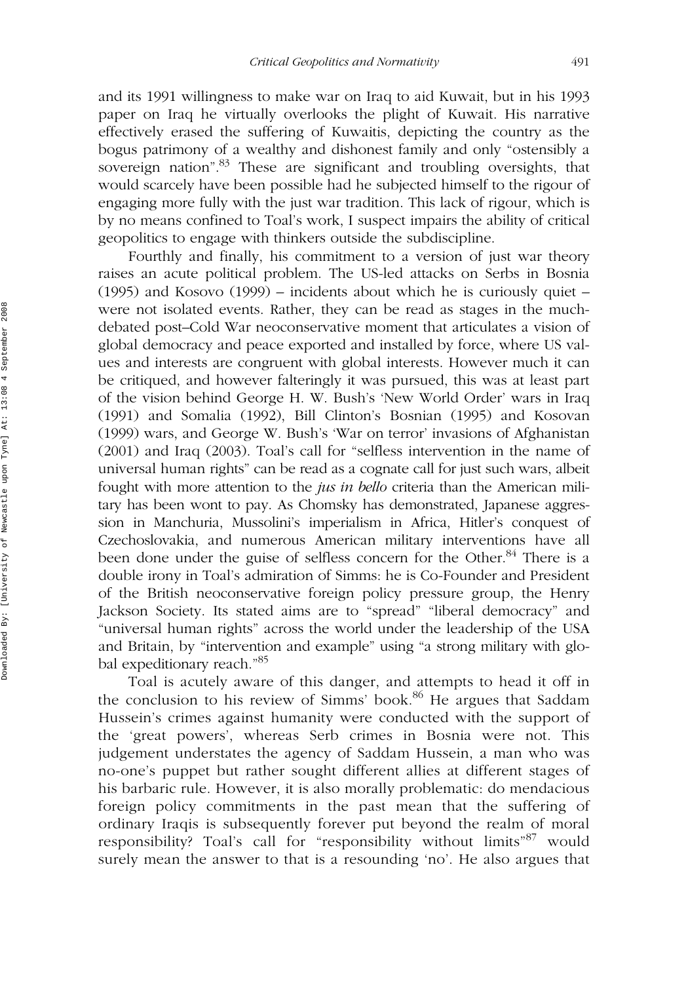and its 1991 willingness to make war on Iraq to aid Kuwait, but in his 1993 paper on Iraq he virtually overlooks the plight of Kuwait. His narrative effectively erased the suffering of Kuwaitis, depicting the country as the bogus patrimony of a wealthy and dishonest family and only "ostensibly a sovereign nation". $83$  These are significant and troubling oversights, that would scarcely have been possible had he subjected himself to the rigour of engaging more fully with the just war tradition. This lack of rigour, which is by no means confined to Toal's work, I suspect impairs the ability of critical geopolitics to engage with thinkers outside the subdiscipline.

Fourthly and finally, his commitment to a version of just war theory raises an acute political problem. The US-led attacks on Serbs in Bosnia (1995) and Kosovo (1999) – incidents about which he is curiously quiet – were not isolated events. Rather, they can be read as stages in the muchdebated post–Cold War neoconservative moment that articulates a vision of global democracy and peace exported and installed by force, where US values and interests are congruent with global interests. However much it can be critiqued, and however falteringly it was pursued, this was at least part of the vision behind George H. W. Bush's 'New World Order' wars in Iraq (1991) and Somalia (1992), Bill Clinton's Bosnian (1995) and Kosovan (1999) wars, and George W. Bush's 'War on terror' invasions of Afghanistan (2001) and Iraq (2003). Toal's call for "selfless intervention in the name of universal human rights" can be read as a cognate call for just such wars, albeit fought with more attention to the *jus in bello* criteria than the American military has been wont to pay. As Chomsky has demonstrated, Japanese aggression in Manchuria, Mussolini's imperialism in Africa, Hitler's conquest of Czechoslovakia, and numerous American military interventions have all been done under the guise of selfless concern for the Other.<sup>84</sup> There is a double irony in Toal's admiration of Simms: he is Co-Founder and President of the British neoconservative foreign policy pressure group, the Henry Jackson Society. Its stated aims are to "spread" "liberal democracy" and "universal human rights" across the world under the leadership of the USA and Britain, by "intervention and example" using "a strong military with global expeditionary reach."<sup>85</sup>

Toal is acutely aware of this danger, and attempts to head it off in the conclusion to his review of Simms' book.<sup>86</sup> He argues that Saddam Hussein's crimes against humanity were conducted with the support of the 'great powers', whereas Serb crimes in Bosnia were not. This judgement understates the agency of Saddam Hussein, a man who was no-one's puppet but rather sought different allies at different stages of his barbaric rule. However, it is also morally problematic: do mendacious foreign policy commitments in the past mean that the suffering of ordinary Iraqis is subsequently forever put beyond the realm of moral responsibility? Toal's call for "responsibility without limits"87 would surely mean the answer to that is a resounding 'no'. He also argues that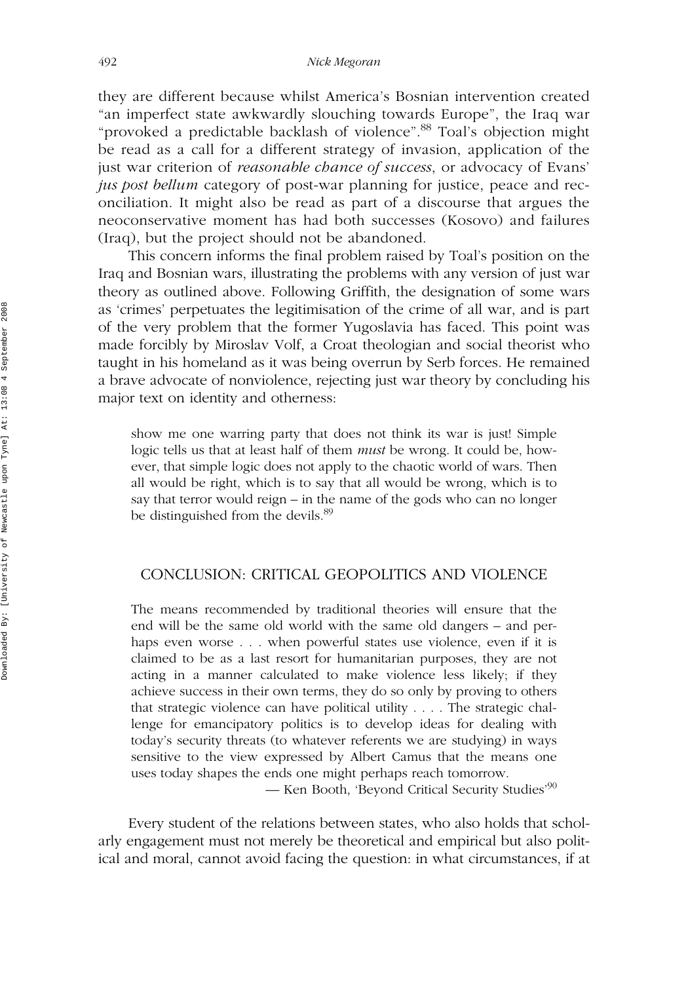they are different because whilst America's Bosnian intervention created "an imperfect state awkwardly slouching towards Europe", the Iraq war "provoked a predictable backlash of violence".<sup>88</sup> Toal's objection might be read as a call for a different strategy of invasion, application of the just war criterion of *reasonable chance of success*, or advocacy of Evans' *jus post bellum* category of post-war planning for justice, peace and reconciliation. It might also be read as part of a discourse that argues the neoconservative moment has had both successes (Kosovo) and failures (Iraq), but the project should not be abandoned.

This concern informs the final problem raised by Toal's position on the Iraq and Bosnian wars, illustrating the problems with any version of just war theory as outlined above. Following Griffith, the designation of some wars as 'crimes' perpetuates the legitimisation of the crime of all war, and is part of the very problem that the former Yugoslavia has faced. This point was made forcibly by Miroslav Volf, a Croat theologian and social theorist who taught in his homeland as it was being overrun by Serb forces. He remained a brave advocate of nonviolence, rejecting just war theory by concluding his major text on identity and otherness:

show me one warring party that does not think its war is just! Simple logic tells us that at least half of them *must* be wrong. It could be, however, that simple logic does not apply to the chaotic world of wars. Then all would be right, which is to say that all would be wrong, which is to say that terror would reign – in the name of the gods who can no longer be distinguished from the devils.<sup>89</sup>

#### CONCLUSION: CRITICAL GEOPOLITICS AND VIOLENCE

The means recommended by traditional theories will ensure that the end will be the same old world with the same old dangers – and perhaps even worse . . . when powerful states use violence, even if it is claimed to be as a last resort for humanitarian purposes, they are not acting in a manner calculated to make violence less likely; if they achieve success in their own terms, they do so only by proving to others that strategic violence can have political utility . . . . The strategic challenge for emancipatory politics is to develop ideas for dealing with today's security threats (to whatever referents we are studying) in ways sensitive to the view expressed by Albert Camus that the means one uses today shapes the ends one might perhaps reach tomorrow.

— Ken Booth, 'Beyond Critical Security Studies'<sup>90</sup>

Every student of the relations between states, who also holds that scholarly engagement must not merely be theoretical and empirical but also political and moral, cannot avoid facing the question: in what circumstances, if at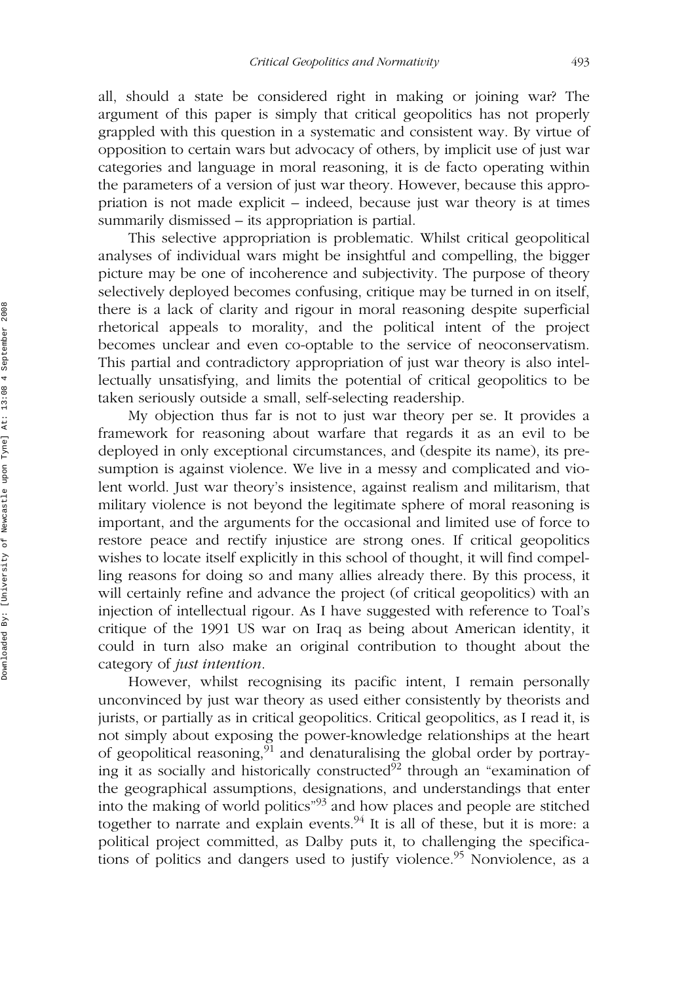all, should a state be considered right in making or joining war? The argument of this paper is simply that critical geopolitics has not properly grappled with this question in a systematic and consistent way. By virtue of opposition to certain wars but advocacy of others, by implicit use of just war categories and language in moral reasoning, it is de facto operating within the parameters of a version of just war theory. However, because this appropriation is not made explicit – indeed, because just war theory is at times summarily dismissed – its appropriation is partial.

This selective appropriation is problematic. Whilst critical geopolitical analyses of individual wars might be insightful and compelling, the bigger picture may be one of incoherence and subjectivity. The purpose of theory selectively deployed becomes confusing, critique may be turned in on itself, there is a lack of clarity and rigour in moral reasoning despite superficial rhetorical appeals to morality, and the political intent of the project becomes unclear and even co-optable to the service of neoconservatism. This partial and contradictory appropriation of just war theory is also intellectually unsatisfying, and limits the potential of critical geopolitics to be taken seriously outside a small, self-selecting readership.

My objection thus far is not to just war theory per se. It provides a framework for reasoning about warfare that regards it as an evil to be deployed in only exceptional circumstances, and (despite its name), its presumption is against violence. We live in a messy and complicated and violent world. Just war theory's insistence, against realism and militarism, that military violence is not beyond the legitimate sphere of moral reasoning is important, and the arguments for the occasional and limited use of force to restore peace and rectify injustice are strong ones. If critical geopolitics wishes to locate itself explicitly in this school of thought, it will find compelling reasons for doing so and many allies already there. By this process, it will certainly refine and advance the project (of critical geopolitics) with an injection of intellectual rigour. As I have suggested with reference to Toal's critique of the 1991 US war on Iraq as being about American identity, it could in turn also make an original contribution to thought about the category of *just intention*.

However, whilst recognising its pacific intent, I remain personally unconvinced by just war theory as used either consistently by theorists and jurists, or partially as in critical geopolitics. Critical geopolitics, as I read it, is not simply about exposing the power-knowledge relationships at the heart of geopolitical reasoning, $91$  and denaturalising the global order by portraying it as socially and historically constructed<sup>92</sup> through an "examination of the geographical assumptions, designations, and understandings that enter into the making of world politics"93 and how places and people are stitched together to narrate and explain events.<sup>94</sup> It is all of these, but it is more: a political project committed, as Dalby puts it, to challenging the specifications of politics and dangers used to justify violence.<sup>95</sup> Nonviolence, as a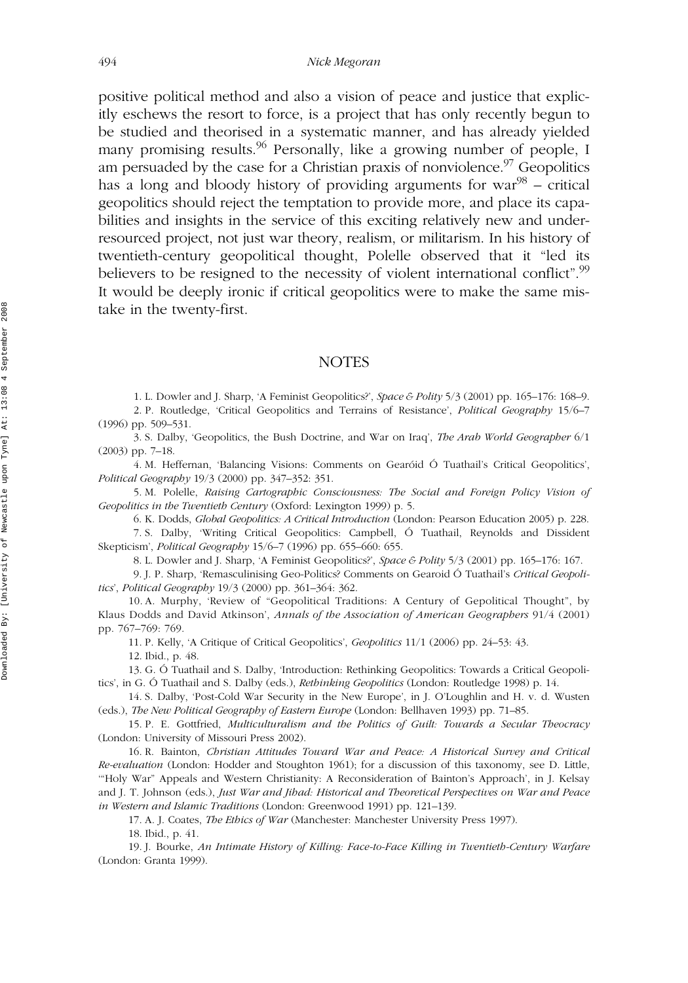positive political method and also a vision of peace and justice that explicitly eschews the resort to force, is a project that has only recently begun to be studied and theorised in a systematic manner, and has already yielded many promising results.<sup>96</sup> Personally, like a growing number of people, I am persuaded by the case for a Christian praxis of nonviolence.<sup>97</sup> Geopolitics has a long and bloody history of providing arguments for war<sup>98</sup> – critical geopolitics should reject the temptation to provide more, and place its capabilities and insights in the service of this exciting relatively new and underresourced project, not just war theory, realism, or militarism. In his history of twentieth-century geopolitical thought, Polelle observed that it "led its believers to be resigned to the necessity of violent international conflict".<sup>99</sup> It would be deeply ironic if critical geopolitics were to make the same mistake in the twenty-first.

#### NOTES

1. L. Dowler and J. Sharp, 'A Feminist Geopolitics?', *Space & Polity* 5/3 (2001) pp. 165–176: 168–9. 2. P. Routledge, 'Critical Geopolitics and Terrains of Resistance', *Political Geography* 15/6–7 (1996) pp. 509–531.

3. S. Dalby, 'Geopolitics, the Bush Doctrine, and War on Iraq', *The Arab World Geographer* 6/1 (2003) pp. 7–18.

4. M. Heffernan, 'Balancing Visions: Comments on Gearóid Ó Tuathail's Critical Geopolitics', *Political Geography* 19/3 (2000) pp. 347–352: 351.

5. M. Polelle, *Raising Cartographic Consciousness: The Social and Foreign Policy Vision of Geopolitics in the Twentieth Century* (Oxford: Lexington 1999) p. 5.

6. K. Dodds, *Global Geopolitics: A Critical Introduction* (London: Pearson Education 2005) p. 228.

7. S. Dalby, 'Writing Critical Geopolitics: Campbell, Ó Tuathail, Reynolds and Dissident Skepticism', *Political Geography* 15/6–7 (1996) pp. 655–660: 655.

8. L. Dowler and J. Sharp, 'A Feminist Geopolitics?', *Space & Polity* 5/3 (2001) pp. 165–176: 167.

9. J. P. Sharp, 'Remasculinising Geo-Politics? Comments on Gearoid Ó Tuathail's *Critical Geopolitics*', *Political Geography* 19/3 (2000) pp. 361–364: 362.

10. A. Murphy, 'Review of "Geopolitical Traditions: A Century of Gepolitical Thought", by Klaus Dodds and David Atkinson', *Annals of the Association of American Geographers* 91/4 (2001) pp. 767–769: 769.

11. P. Kelly, 'A Critique of Critical Geopolitics', *Geopolitics* 11/1 (2006) pp. 24–53: 43.

12. Ibid., p. 48.

13. G. Ó Tuathail and S. Dalby, 'Introduction: Rethinking Geopolitics: Towards a Critical Geopolitics', in G. Ó Tuathail and S. Dalby (eds.), *Rethinking Geopolitics* (London: Routledge 1998) p. 14.

14. S. Dalby, 'Post-Cold War Security in the New Europe', in J. O'Loughlin and H. v. d. Wusten (eds.), *The New Political Geography of Eastern Europe* (London: Bellhaven 1993) pp. 71–85.

15. P. E. Gottfried, *Multiculturalism and the Politics of Guilt: Towards a Secular Theocracy* (London: University of Missouri Press 2002).

16. R. Bainton, *Christian Attitudes Toward War and Peace: A Historical Survey and Critical Re-evaluation* (London: Hodder and Stoughton 1961); for a discussion of this taxonomy, see D. Little, '"Holy War" Appeals and Western Christianity: A Reconsideration of Bainton's Approach', in J. Kelsay and J. T. Johnson (eds.), *Just War and Jihad: Historical and Theoretical Perspectives on War and Peace in Western and Islamic Traditions* (London: Greenwood 1991) pp. 121–139.

17. A. J. Coates, *The Ethics of War* (Manchester: Manchester University Press 1997).

18. Ibid., p. 41.

19. J. Bourke, *An Intimate History of Killing: Face-to-Face Killing in Twentieth-Century Warfare* (London: Granta 1999).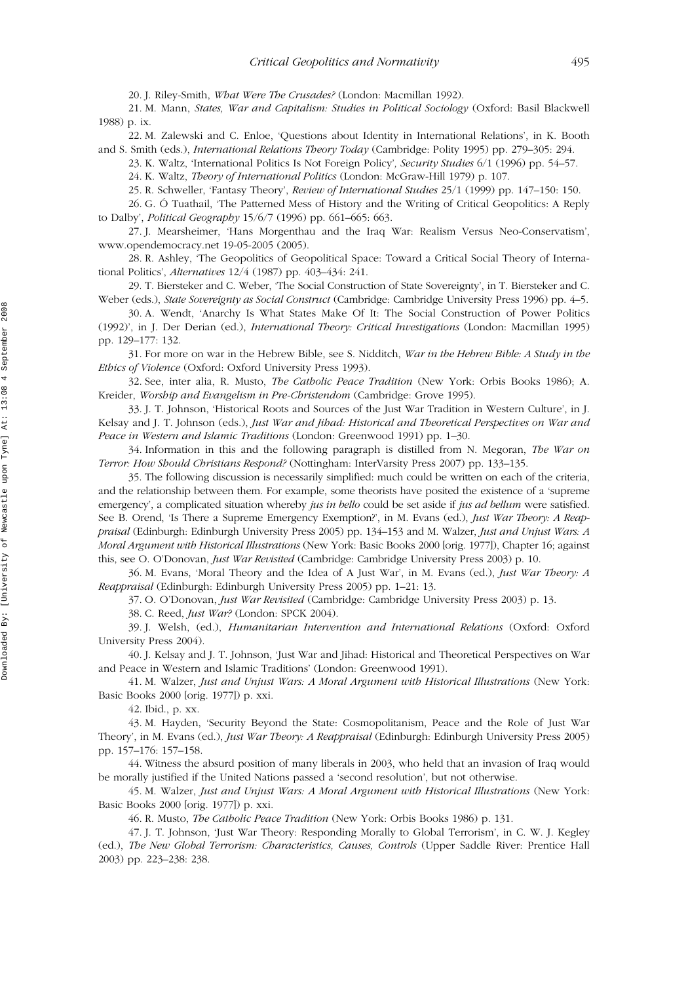20. J. Riley-Smith, *What Were The Crusades?* (London: Macmillan 1992).

21. M. Mann, *States, War and Capitalism: Studies in Political Sociology* (Oxford: Basil Blackwell 1988) p. ix.

22. M. Zalewski and C. Enloe, 'Questions about Identity in International Relations', in K. Booth and S. Smith (eds.), *International Relations Theory Today* (Cambridge: Polity 1995) pp. 279–305: 294.

23. K. Waltz, 'International Politics Is Not Foreign Policy'*, Security Studies* 6/1 (1996) pp. 54–57.

24. K. Waltz, *Theory of International Politics* (London: McGraw-Hill 1979) p. 107.

25. R. Schweller, 'Fantasy Theory', *Review of International Studies* 25/1 (1999) pp. 147–150: 150.

26. G. Ó Tuathail, 'The Patterned Mess of History and the Writing of Critical Geopolitics: A Reply to Dalby', *Political Geography* 15/6/7 (1996) pp. 661–665: 663.

27. J. Mearsheimer, 'Hans Morgenthau and the Iraq War: Realism Versus Neo-Conservatism', www.opendemocracy.net 19-05-2005 (2005).

28. R. Ashley, 'The Geopolitics of Geopolitical Space: Toward a Critical Social Theory of International Politics', *Alternatives* 12/4 (1987) pp. 403–434: 241.

29. T. Biersteker and C. Weber, 'The Social Construction of State Sovereignty', in T. Biersteker and C. Weber (eds.), *State Sovereignty as Social Construct* (Cambridge: Cambridge University Press 1996) pp. 4–5.

30. A. Wendt, 'Anarchy Is What States Make Of It: The Social Construction of Power Politics (1992)', in J. Der Derian (ed.), *International Theory: Critical Investigations* (London: Macmillan 1995) pp. 129–177: 132.

31. For more on war in the Hebrew Bible, see S. Nidditch, *War in the Hebrew Bible: A Study in the Ethics of Violence* (Oxford: Oxford University Press 1993).

32. See, inter alia, R. Musto, *The Catholic Peace Tradition* (New York: Orbis Books 1986); A. Kreider, *Worship and Evangelism in Pre-Christendom* (Cambridge: Grove 1995).

33. J. T. Johnson, 'Historical Roots and Sources of the Just War Tradition in Western Culture', in J. Kelsay and J. T. Johnson (eds.), *Just War and Jihad: Historical and Theoretical Perspectives on War and Peace in Western and Islamic Traditions* (London: Greenwood 1991) pp. 1–30.

34. Information in this and the following paragraph is distilled from N. Megoran, *The War on Terror: How Should Christians Respond?* (Nottingham: InterVarsity Press 2007) pp. 133–135.

35. The following discussion is necessarily simplified: much could be written on each of the criteria, and the relationship between them. For example, some theorists have posited the existence of a 'supreme emergency', a complicated situation whereby *jus in bello* could be set aside if *jus ad bellum* were satisfied. See B. Orend, 'Is There a Supreme Emergency Exemption?', in M. Evans (ed.), *Just War Theory: A Reappraisal* (Edinburgh: Edinburgh University Press 2005) pp. 134–153 and M. Walzer, *Just and Unjust Wars: A Moral Argument with Historical Illustrations* (New York: Basic Books 2000 [orig. 1977]), Chapter 16; against this, see O. O'Donovan, *Just War Revisited* (Cambridge: Cambridge University Press 2003) p. 10.

36. M. Evans, 'Moral Theory and the Idea of A Just War', in M. Evans (ed.), *Just War Theory: A Reappraisal* (Edinburgh: Edinburgh University Press 2005) pp. 1–21: 13.

37. O. O'Donovan, *Just War Revisited* (Cambridge: Cambridge University Press 2003) p. 13.

38. C. Reed, *Just War?* (London: SPCK 2004).

39. J. Welsh, (ed.), *Humanitarian Intervention and International Relations* (Oxford: Oxford University Press 2004).

40. J. Kelsay and J. T. Johnson, 'Just War and Jihad: Historical and Theoretical Perspectives on War and Peace in Western and Islamic Traditions' (London: Greenwood 1991).

41. M. Walzer, *Just and Unjust Wars: A Moral Argument with Historical Illustrations* (New York: Basic Books 2000 [orig. 1977]) p. xxi.

42. Ibid., p. xx.

43. M. Hayden, 'Security Beyond the State: Cosmopolitanism, Peace and the Role of Just War Theory', in M. Evans (ed.), *Just War Theory: A Reappraisal* (Edinburgh: Edinburgh University Press 2005) pp. 157–176: 157–158.

44. Witness the absurd position of many liberals in 2003, who held that an invasion of Iraq would be morally justified if the United Nations passed a 'second resolution', but not otherwise.

45. M. Walzer, *Just and Unjust Wars: A Moral Argument with Historical Illustrations* (New York: Basic Books 2000 [orig. 1977]) p. xxi.

46. R. Musto, *The Catholic Peace Tradition* (New York: Orbis Books 1986) p. 131.

47. J. T. Johnson, 'Just War Theory: Responding Morally to Global Terrorism', in C. W. J. Kegley (ed.), *The New Global Terrorism: Characteristics, Causes, Controls* (Upper Saddle River: Prentice Hall 2003) pp. 223–238: 238.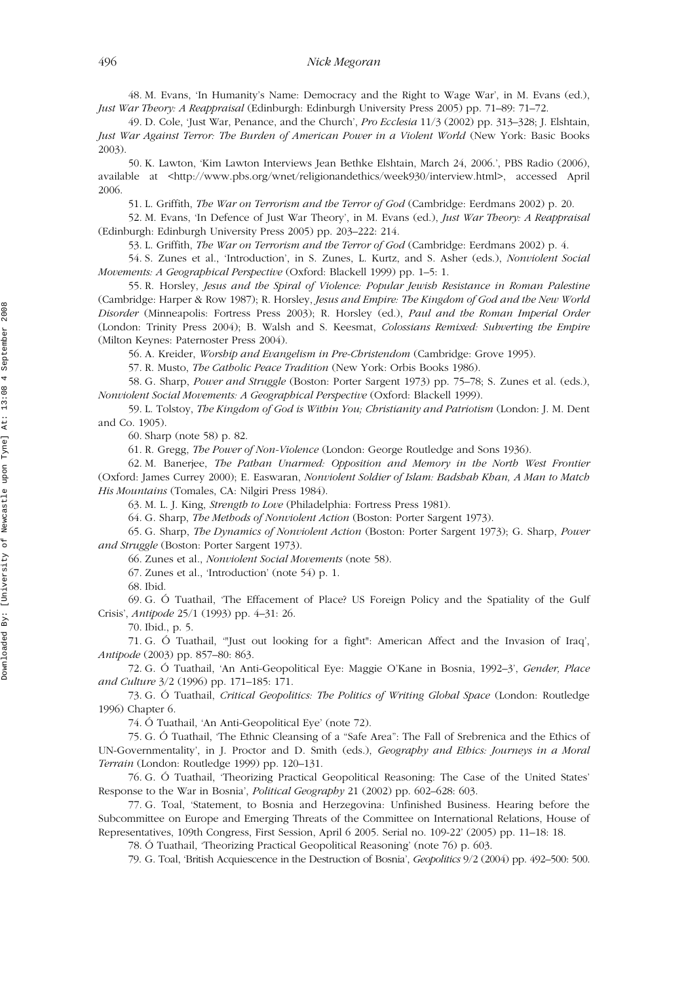#### 496 *Nick Megoran*

48. M. Evans, 'In Humanity's Name: Democracy and the Right to Wage War', in M. Evans (ed.), *Just War Theory: A Reappraisal* (Edinburgh: Edinburgh University Press 2005) pp. 71–89: 71–72.

49. D. Cole, 'Just War, Penance, and the Church', *Pro Ecclesia* 11/3 (2002) pp. 313–328; J. Elshtain, *Just War Against Terror: The Burden of American Power in a Violent World* (New York: Basic Books 2003).

50. K. Lawton, 'Kim Lawton Interviews Jean Bethke Elshtain, March 24, 2006.', PBS Radio (2006), available at <http://www.pbs.org/wnet/religionandethics/week930/interview.html>, accessed April 2006.

51. L. Griffith, *The War on Terrorism and the Terror of God* (Cambridge: Eerdmans 2002) p. 20.

52. M. Evans, 'In Defence of Just War Theory', in M. Evans (ed.), *Just War Theory: A Reappraisal* (Edinburgh: Edinburgh University Press 2005) pp. 203–222: 214.

53. L. Griffith, *The War on Terrorism and the Terror of God* (Cambridge: Eerdmans 2002) p. 4.

54. S. Zunes et al., 'Introduction', in S. Zunes, L. Kurtz, and S. Asher (eds.), *Nonviolent Social Movements: A Geographical Perspective* (Oxford: Blackell 1999) pp. 1–5: 1.

55. R. Horsley, *Jesus and the Spiral of Violence: Popular Jewish Resistance in Roman Palestine* (Cambridge: Harper & Row 1987); R. Horsley, *Jesus and Empire: The Kingdom of God and the New World Disorder* (Minneapolis: Fortress Press 2003); R. Horsley (ed.), *Paul and the Roman Imperial Order* (London: Trinity Press 2004); B. Walsh and S. Keesmat, *Colossians Remixed: Subverting the Empire* (Milton Keynes: Paternoster Press 2004).

56. A. Kreider, *Worship and Evangelism in Pre-Christendom* (Cambridge: Grove 1995).

57. R. Musto, *The Catholic Peace Tradition* (New York: Orbis Books 1986).

58. G. Sharp, *Power and Struggle* (Boston: Porter Sargent 1973) pp. 75–78; S. Zunes et al. (eds.), *Nonviolent Social Movements: A Geographical Perspective* (Oxford: Blackell 1999).

59. L. Tolstoy, *The Kingdom of God is Within You; Christianity and Patriotism* (London: J. M. Dent and Co. 1905).

60. Sharp (note 58) p. 82.

61. R. Gregg, *The Power of Non-Violence* (London: George Routledge and Sons 1936).

62. M. Banerjee, *The Pathan Unarmed: Opposition and Memory in the North West Frontier* (Oxford: James Currey 2000); E. Easwaran, *Nonviolent Soldier of Islam: Badshah Khan, A Man to Match His Mountains* (Tomales, CA: Nilgiri Press 1984).

63. M. L. J. King, *Strength to Love* (Philadelphia: Fortress Press 1981).

64. G. Sharp, *The Methods of Nonviolent Action* (Boston: Porter Sargent 1973).

65. G. Sharp, *The Dynamics of Nonviolent Action* (Boston: Porter Sargent 1973); G. Sharp, *Power and Struggle* (Boston: Porter Sargent 1973).

66. Zunes et al., *Nonviolent Social Movements* (note 58).

67. Zunes et al., 'Introduction' (note 54) p. 1.

68. Ibid.

69. G. Ó Tuathail, 'The Effacement of Place? US Foreign Policy and the Spatiality of the Gulf Crisis', *Antipode* 25/1 (1993) pp. 4–31: 26.

70. Ibid., p. 5.

71. G. Ó Tuathail, '"Just out looking for a fight": American Affect and the Invasion of Iraq', *Antipode* (2003) pp. 857–80: 863.

72. G. Ó Tuathail, 'An Anti-Geopolitical Eye: Maggie O'Kane in Bosnia, 1992–3', *Gender, Place and Culture* 3/2 (1996) pp. 171–185: 171.

73. G. Ó Tuathail, *Critical Geopolitics: The Politics of Writing Global Space* (London: Routledge 1996) Chapter 6.

74. Ó Tuathail, 'An Anti-Geopolitical Eye' (note 72).

75. G. Ó Tuathail, 'The Ethnic Cleansing of a "Safe Area": The Fall of Srebrenica and the Ethics of UN-Governmentality', in J. Proctor and D. Smith (eds.), *Geography and Ethics: Journeys in a Moral Terrain* (London: Routledge 1999) pp. 120–131.

76. G. Ó Tuathail, 'Theorizing Practical Geopolitical Reasoning: The Case of the United States' Response to the War in Bosnia', *Political Geography* 21 (2002) pp. 602–628: 603.

77. G. Toal, 'Statement, to Bosnia and Herzegovina: Unfinished Business. Hearing before the Subcommittee on Europe and Emerging Threats of the Committee on International Relations, House of Representatives, 109th Congress, First Session, April 6 2005. Serial no. 109-22' (2005) pp. 11–18: 18.

78. Ó Tuathail, 'Theorizing Practical Geopolitical Reasoning' (note 76) p. 603.

79. G. Toal, 'British Acquiescence in the Destruction of Bosnia', *Geopolitics* 9/2 (2004) pp. 492–500: 500.